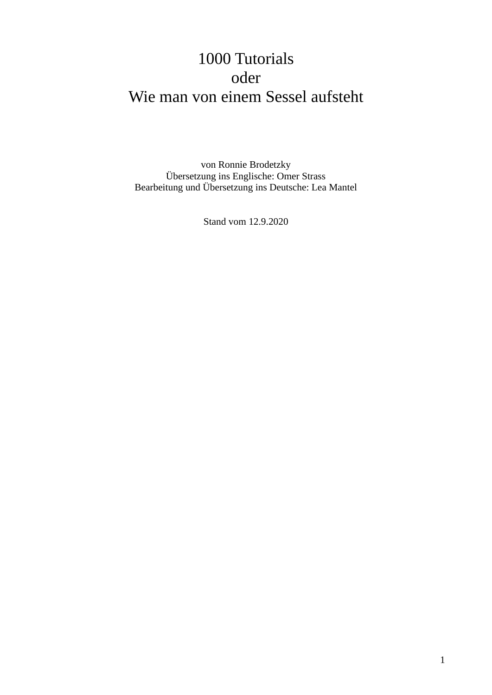# 1000 Tutorials oder Wie man von einem Sessel aufsteht

von Ronnie Brodetzky Übersetzung ins Englische: Omer Strass Bearbeitung und Übersetzung ins Deutsche: Lea Mantel

Stand vom 12.9.2020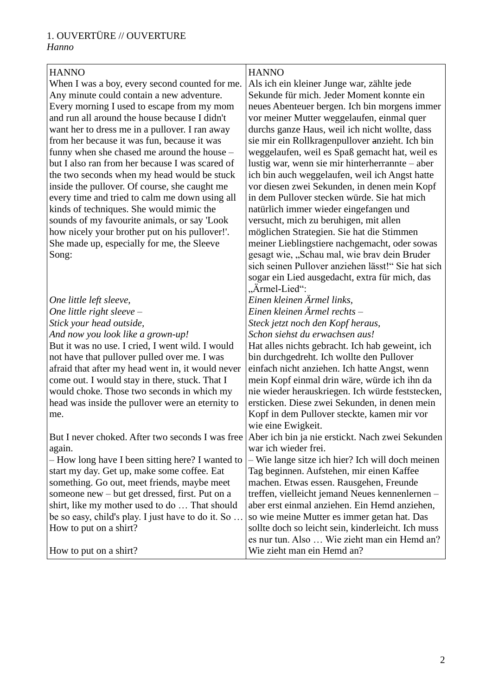#### 1. OUVERTÜRE // OUVERTURE *Hanno*

#### **HANNO**

When I was a boy, every second counted for me. Any minute could contain a new adventure. Every morning I used to escape from my mom and run all around the house because I didn't want her to dress me in a pullover. I ran away from her because it was fun, because it was funny when she chased me around the house – but I also ran from her because I was scared of the two seconds when my head would be stuck inside the pullover. Of course, she caught me every time and tried to calm me down using all kinds of techniques. She would mimic the sounds of my favourite animals, or say 'Look how nicely your brother put on his pullover!'. She made up, especially for me, the Sleeve Song:

| One little left sleeve,                           | Einen l                  |
|---------------------------------------------------|--------------------------|
| One little right sleeve $-$                       | Einen l                  |
| Stick your head outside,                          | <i>Steck je</i>          |
| And now you look like a grown-up!                 | Schon                    |
| But it was no use. I cried, I went wild. I would  | Hat all                  |
| not have that pullover pulled over me. I was      | bin dur                  |
| afraid that after my head went in, it would never | einfach                  |
| come out. I would stay in there, stuck. That I    | mein K                   |
| would choke. Those two seconds in which my        | nie wie                  |
| head was inside the pullover were an eternity to  | erstick                  |
| me.                                               | Kopf in                  |
|                                                   | wie ein                  |
|                                                   | $\lambda$ 1. $\lambda$ . |

But I never choked. After two seconds I was free Aber ich bin ja nie erstickt. Nach zwei Sekunden again.

– How long have I been sitting here? I wanted to start my day. Get up, make some coffee. Eat something. Go out, meet friends, maybe meet someone new – but get dressed, first. Put on a shirt, like my mother used to do … That should be so easy, child's play. I just have to do it. So … How to put on a shirt?

How to put on a shirt?

#### **HANNO**

Als ich ein kleiner Junge war, zählte jede Sekunde für mich. Jeder Moment konnte ein neues Abenteuer bergen. Ich bin morgens immer vor meiner Mutter weggelaufen, einmal quer durchs ganze Haus, weil ich nicht wollte, dass sie mir ein Rollkragenpullover anzieht. Ich bin weggelaufen, weil es Spaß gemacht hat, weil es lustig war, wenn sie mir hinterherrannte – aber ich bin auch weggelaufen, weil ich Angst hatte vor diesen zwei Sekunden, in denen mein Kopf in dem Pullover stecken würde. Sie hat mich natürlich immer wieder eingefangen und versucht, mich zu beruhigen, mit allen möglichen Strategien. Sie hat die Stimmen meiner Lieblingstiere nachgemacht, oder sowas gesagt wie, "Schau mal, wie brav dein Bruder sich seinen Pullover anziehen lässt!" Sie hat sich sogar ein Lied ausgedacht, extra für mich, das ...Ärmel-Lied":

*Einen kleinen Ärmel links,*

*Einen kleinen Ärmel rechts –*

*Steck jetzt noch den Kopf heraus,*

*Schon siehst du erwachsen aus!*

es nichts gebracht. Ich hab geweint, ich rchgedreht. Ich wollte den Pullover n nicht anziehen. Ich hatte Angst, wenn mein Kopf einmal drin wäre, würde ich ihn da eder herauskriegen. Ich würde feststecken, en. Diese zwei Sekunden, in denen mein n dem Pullover steckte, kamen mir vor ne Ewigkeit.

war ich wieder frei.

– Wie lange sitze ich hier? Ich will doch meinen Tag beginnen. Aufstehen, mir einen Kaffee machen. Etwas essen. Rausgehen, Freunde treffen, vielleicht jemand Neues kennenlernen – aber erst einmal anziehen. Ein Hemd anziehen, so wie meine Mutter es immer getan hat. Das sollte doch so leicht sein, kinderleicht. Ich muss es nur tun. Also … Wie zieht man ein Hemd an? Wie zieht man ein Hemd an?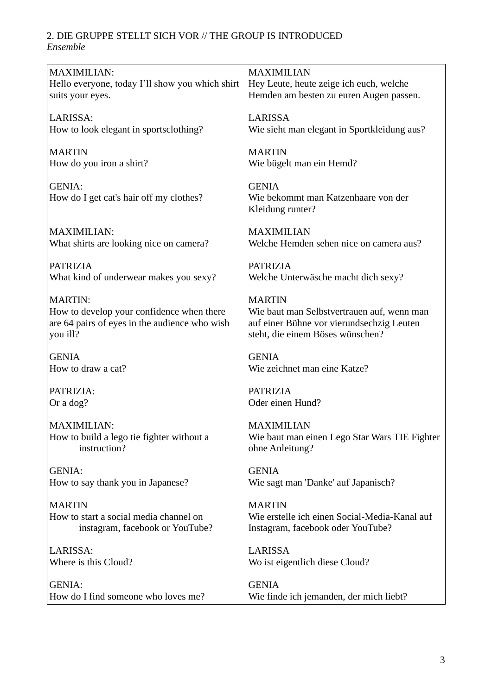## 2. DIE GRUPPE STELLT SICH VOR // THE GROUP IS INTRODUCED

*Ensemble*

| <b>MAXIMILIAN:</b>                                        | <b>MAXIMILIAN</b>                                                             |
|-----------------------------------------------------------|-------------------------------------------------------------------------------|
| Hello everyone, today I'll show you which shirt           | Hey Leute, heute zeige ich euch, welche                                       |
| suits your eyes.                                          | Hemden am besten zu euren Augen passen.                                       |
|                                                           |                                                                               |
| LARISSA:<br>How to look elegant in sportsclothing?        | <b>LARISSA</b><br>Wie sieht man elegant in Sportkleidung aus?                 |
|                                                           |                                                                               |
| <b>MARTIN</b>                                             | <b>MARTIN</b>                                                                 |
| How do you iron a shirt?                                  | Wie bügelt man ein Hemd?                                                      |
|                                                           |                                                                               |
| <b>GENIA:</b>                                             | <b>GENIA</b>                                                                  |
| How do I get cat's hair off my clothes?                   | Wie bekommt man Katzenhaare von der                                           |
|                                                           | Kleidung runter?                                                              |
| <b>MAXIMILIAN:</b>                                        | <b>MAXIMILIAN</b>                                                             |
| What shirts are looking nice on camera?                   | Welche Hemden sehen nice on camera aus?                                       |
|                                                           |                                                                               |
| <b>PATRIZIA</b>                                           | <b>PATRIZIA</b>                                                               |
| What kind of underwear makes you sexy?                    | Welche Unterwäsche macht dich sexy?                                           |
|                                                           |                                                                               |
| <b>MARTIN:</b>                                            | <b>MARTIN</b>                                                                 |
| How to develop your confidence when there                 | Wie baut man Selbstvertrauen auf, wenn man                                    |
| are 64 pairs of eyes in the audience who wish<br>you ill? | auf einer Bühne vor vierundsechzig Leuten<br>steht, die einem Böses wünschen? |
|                                                           |                                                                               |
| <b>GENIA</b>                                              | <b>GENIA</b>                                                                  |
| How to draw a cat?                                        | Wie zeichnet man eine Katze?                                                  |
|                                                           |                                                                               |
| PATRIZIA:                                                 | <b>PATRIZIA</b>                                                               |
| Or a dog?                                                 | Oder einen Hund?                                                              |
| <b>MAXIMILIAN:</b>                                        | <b>MAXIMILIAN</b>                                                             |
| How to build a lego tie fighter without a                 | Wie baut man einen Lego Star Wars TIE Fighter                                 |
| instruction?                                              | ohne Anleitung?                                                               |
|                                                           |                                                                               |
| <b>GENIA:</b>                                             | <b>GENIA</b>                                                                  |
| How to say thank you in Japanese?                         | Wie sagt man 'Danke' auf Japanisch?                                           |
|                                                           |                                                                               |
| <b>MARTIN</b><br>How to start a social media channel on   | <b>MARTIN</b><br>Wie erstelle ich einen Social-Media-Kanal auf                |
| instagram, facebook or YouTube?                           | Instagram, facebook oder YouTube?                                             |
|                                                           |                                                                               |
| LARISSA:                                                  | <b>LARISSA</b>                                                                |
| Where is this Cloud?                                      | Wo ist eigentlich diese Cloud?                                                |
|                                                           |                                                                               |
| <b>GENIA:</b>                                             | <b>GENIA</b>                                                                  |
| How do I find someone who loves me?                       | Wie finde ich jemanden, der mich liebt?                                       |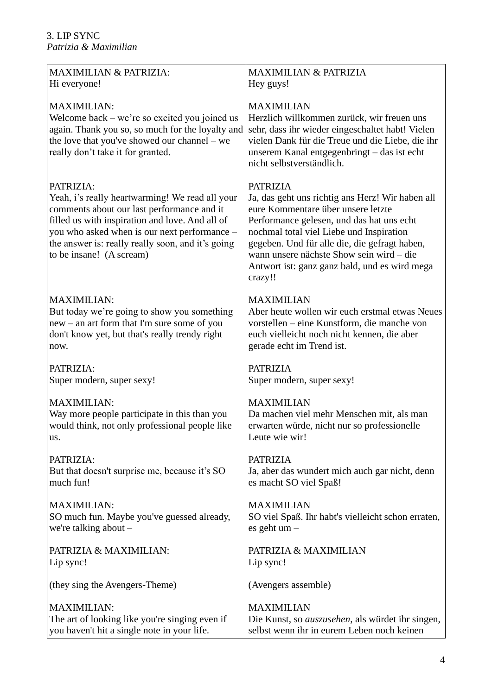| <b>MAXIMILIAN &amp; PATRIZIA:</b>                                                                                                                                                                                                                                                              | <b>MAXIMILIAN &amp; PATRIZIA</b>                                                                                                                                                                                                                                                                                                                            |
|------------------------------------------------------------------------------------------------------------------------------------------------------------------------------------------------------------------------------------------------------------------------------------------------|-------------------------------------------------------------------------------------------------------------------------------------------------------------------------------------------------------------------------------------------------------------------------------------------------------------------------------------------------------------|
| Hi everyone!                                                                                                                                                                                                                                                                                   | Hey guys!                                                                                                                                                                                                                                                                                                                                                   |
| <b>MAXIMILIAN:</b><br>Welcome back $-$ we're so excited you joined us<br>again. Thank you so, so much for the loyalty and<br>the love that you've showed our channel - we<br>really don't take it for granted.                                                                                 | <b>MAXIMILIAN</b><br>Herzlich willkommen zurück, wir freuen uns<br>sehr, dass ihr wieder eingeschaltet habt! Vielen<br>vielen Dank für die Treue und die Liebe, die ihr<br>unserem Kanal entgegenbringt - das ist echt<br>nicht selbstverständlich.                                                                                                         |
| PATRIZIA:<br>Yeah, i's really heartwarming! We read all your<br>comments about our last performance and it<br>filled us with inspiration and love. And all of<br>you who asked when is our next performance -<br>the answer is: really really soon, and it's going<br>to be insane! (A scream) | <b>PATRIZIA</b><br>Ja, das geht uns richtig ans Herz! Wir haben all<br>eure Kommentare über unsere letzte<br>Performance gelesen, und das hat uns echt<br>nochmal total viel Liebe und Inspiration<br>gegeben. Und für alle die, die gefragt haben,<br>wann unsere nächste Show sein wird – die<br>Antwort ist: ganz ganz bald, und es wird mega<br>crazy!! |
| <b>MAXIMILIAN:</b>                                                                                                                                                                                                                                                                             | <b>MAXIMILIAN</b>                                                                                                                                                                                                                                                                                                                                           |
| But today we're going to show you something                                                                                                                                                                                                                                                    | Aber heute wollen wir euch erstmal etwas Neues                                                                                                                                                                                                                                                                                                              |
| new – an art form that I'm sure some of you                                                                                                                                                                                                                                                    | vorstellen – eine Kunstform, die manche von                                                                                                                                                                                                                                                                                                                 |
| don't know yet, but that's really trendy right                                                                                                                                                                                                                                                 | euch vielleicht noch nicht kennen, die aber                                                                                                                                                                                                                                                                                                                 |
| now.                                                                                                                                                                                                                                                                                           | gerade echt im Trend ist.                                                                                                                                                                                                                                                                                                                                   |
| PATRIZIA:                                                                                                                                                                                                                                                                                      | <b>PATRIZIA</b>                                                                                                                                                                                                                                                                                                                                             |
| Super modern, super sexy!                                                                                                                                                                                                                                                                      | Super modern, super sexy!                                                                                                                                                                                                                                                                                                                                   |
| <b>MAXIMILIAN:</b>                                                                                                                                                                                                                                                                             | <b>MAXIMILIAN</b>                                                                                                                                                                                                                                                                                                                                           |
| Way more people participate in this than you                                                                                                                                                                                                                                                   | Da machen viel mehr Menschen mit, als man                                                                                                                                                                                                                                                                                                                   |
| would think, not only professional people like                                                                                                                                                                                                                                                 | erwarten würde, nicht nur so professionelle                                                                                                                                                                                                                                                                                                                 |
| us.                                                                                                                                                                                                                                                                                            | Leute wie wir!                                                                                                                                                                                                                                                                                                                                              |
| PATRIZIA:                                                                                                                                                                                                                                                                                      | <b>PATRIZIA</b>                                                                                                                                                                                                                                                                                                                                             |
| But that doesn't surprise me, because it's SO                                                                                                                                                                                                                                                  | Ja, aber das wundert mich auch gar nicht, denn                                                                                                                                                                                                                                                                                                              |
| much fun!                                                                                                                                                                                                                                                                                      | es macht SO viel Spaß!                                                                                                                                                                                                                                                                                                                                      |
| <b>MAXIMILIAN:</b>                                                                                                                                                                                                                                                                             | <b>MAXIMILIAN</b>                                                                                                                                                                                                                                                                                                                                           |
| SO much fun. Maybe you've guessed already,                                                                                                                                                                                                                                                     | SO viel Spaß. Ihr habt's vielleicht schon erraten,                                                                                                                                                                                                                                                                                                          |
| we're talking about $-$                                                                                                                                                                                                                                                                        | es geht um-                                                                                                                                                                                                                                                                                                                                                 |
| PATRIZIA & MAXIMILIAN:                                                                                                                                                                                                                                                                         | PATRIZIA & MAXIMILIAN                                                                                                                                                                                                                                                                                                                                       |
| Lip sync!                                                                                                                                                                                                                                                                                      | Lip sync!                                                                                                                                                                                                                                                                                                                                                   |
| (they sing the Avengers-Theme)                                                                                                                                                                                                                                                                 | (Avengers assemble)                                                                                                                                                                                                                                                                                                                                         |
| <b>MAXIMILIAN:</b>                                                                                                                                                                                                                                                                             | <b>MAXIMILIAN</b>                                                                                                                                                                                                                                                                                                                                           |
| The art of looking like you're singing even if                                                                                                                                                                                                                                                 | Die Kunst, so <i>auszusehen</i> , als würdet ihr singen,                                                                                                                                                                                                                                                                                                    |
| you haven't hit a single note in your life.                                                                                                                                                                                                                                                    | selbst wenn ihr in eurem Leben noch keinen                                                                                                                                                                                                                                                                                                                  |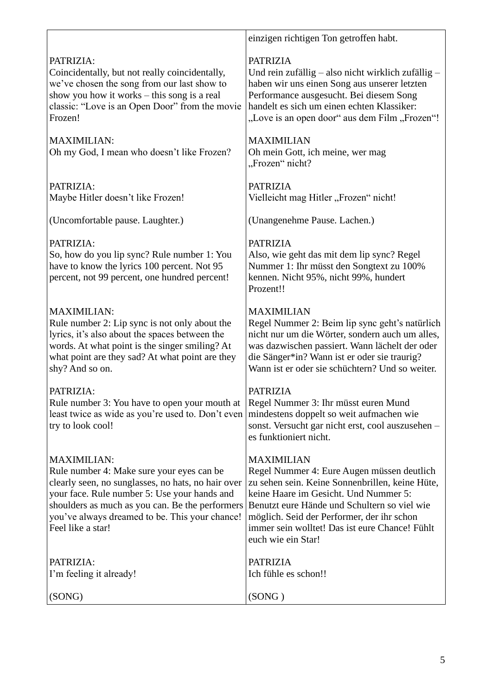|                                                                                                                                                                                                                                                                                                 | einzigen richtigen Ton getroffen habt.                                                                                                                                                                                                                                                                                            |
|-------------------------------------------------------------------------------------------------------------------------------------------------------------------------------------------------------------------------------------------------------------------------------------------------|-----------------------------------------------------------------------------------------------------------------------------------------------------------------------------------------------------------------------------------------------------------------------------------------------------------------------------------|
| PATRIZIA:<br>Coincidentally, but not really coincidentally,<br>we've chosen the song from our last show to<br>show you how it works – this song is a real<br>classic: "Love is an Open Door" from the movie<br>Frozen!                                                                          | <b>PATRIZIA</b><br>Und rein zufällig – also nicht wirklich zufällig –<br>haben wir uns einen Song aus unserer letzten<br>Performance ausgesucht. Bei diesem Song<br>handelt es sich um einen echten Klassiker:<br>"Love is an open door" aus dem Film "Frozen"!                                                                   |
| <b>MAXIMILIAN:</b><br>Oh my God, I mean who doesn't like Frozen?                                                                                                                                                                                                                                | <b>MAXIMILIAN</b><br>Oh mein Gott, ich meine, wer mag<br>"Frozen" nicht?                                                                                                                                                                                                                                                          |
| PATRIZIA:<br>Maybe Hitler doesn't like Frozen!                                                                                                                                                                                                                                                  | <b>PATRIZIA</b><br>Vielleicht mag Hitler "Frozen" nicht!                                                                                                                                                                                                                                                                          |
| (Uncomfortable pause. Laughter.)                                                                                                                                                                                                                                                                | (Unangenehme Pause. Lachen.)                                                                                                                                                                                                                                                                                                      |
| PATRIZIA:<br>So, how do you lip sync? Rule number 1: You<br>have to know the lyrics 100 percent. Not 95<br>percent, not 99 percent, one hundred percent!                                                                                                                                        | <b>PATRIZIA</b><br>Also, wie geht das mit dem lip sync? Regel<br>Nummer 1: Ihr müsst den Songtext zu 100%<br>kennen. Nicht 95%, nicht 99%, hundert<br>Prozent!!                                                                                                                                                                   |
| <b>MAXIMILIAN:</b><br>Rule number 2: Lip sync is not only about the<br>lyrics, it's also about the spaces between the<br>words. At what point is the singer smiling? At<br>what point are they sad? At what point are they<br>shy? And so on.                                                   | <b>MAXIMILIAN</b><br>Regel Nummer 2: Beim lip sync geht's natürlich<br>nicht nur um die Wörter, sondern auch um alles,<br>was dazwischen passiert. Wann lächelt der oder<br>die Sänger*in? Wann ist er oder sie traurig?<br>Wann ist er oder sie schüchtern? Und so weiter.                                                       |
| PATRIZIA:<br>Rule number 3: You have to open your mouth at<br>least twice as wide as you're used to. Don't even<br>try to look cool!                                                                                                                                                            | <b>PATRIZIA</b><br>Regel Nummer 3: Ihr müsst euren Mund<br>mindestens doppelt so weit aufmachen wie<br>sonst. Versucht gar nicht erst, cool auszusehen -<br>es funktioniert nicht.                                                                                                                                                |
| <b>MAXIMILIAN:</b><br>Rule number 4: Make sure your eyes can be<br>clearly seen, no sunglasses, no hats, no hair over<br>your face. Rule number 5: Use your hands and<br>shoulders as much as you can. Be the performers<br>you've always dreamed to be. This your chance!<br>Feel like a star! | <b>MAXIMILIAN</b><br>Regel Nummer 4: Eure Augen müssen deutlich<br>zu sehen sein. Keine Sonnenbrillen, keine Hüte,<br>keine Haare im Gesicht. Und Nummer 5:<br>Benutzt eure Hände und Schultern so viel wie<br>möglich. Seid der Performer, der ihr schon<br>immer sein wolltet! Das ist eure Chance! Fühlt<br>euch wie ein Star! |
| PATRIZIA:<br>I'm feeling it already!                                                                                                                                                                                                                                                            | <b>PATRIZIA</b><br>Ich fühle es schon!!                                                                                                                                                                                                                                                                                           |
| (SONG)                                                                                                                                                                                                                                                                                          | (SONG)                                                                                                                                                                                                                                                                                                                            |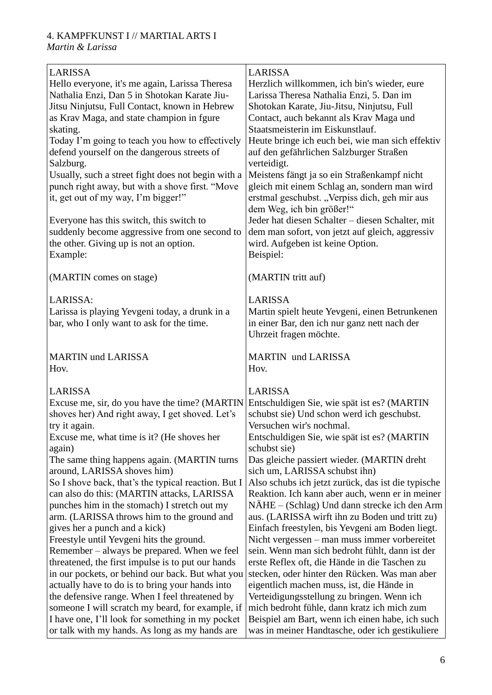#### 4. KAMPFKUNST I // MARTIAL ARTS I *Martin & Larissa*

| <b>LARISSA</b><br>Hello everyone, it's me again, Larissa Theresa<br>Nathalia Enzi, Dan 5 in Shotokan Karate Jiu-<br>Jitsu Ninjutsu, Full Contact, known in Hebrew<br>as Krav Maga, and state champion in fgure<br>skating.<br>Today I'm going to teach you how to effectively<br>defend yourself on the dangerous streets of<br>Salzburg.<br>Usually, such a street fight does not begin with a<br>punch right away, but with a shove first. "Move<br>it, get out of my way, I'm bigger!"<br>Everyone has this switch, this switch to<br>suddenly become aggressive from one second to<br>the other. Giving up is not an option.<br>Example:                                                                                                                                                                                                                                                                                                                                     | LARISSA<br>Herzlich willkommen, ich bin's wieder, eure<br>Larissa Theresa Nathalia Enzi, 5. Dan im<br>Shotokan Karate, Jiu-Jitsu, Ninjutsu, Full<br>Contact, auch bekannt als Krav Maga und<br>Staatsmeisterin im Eiskunstlauf.<br>Heute bringe ich euch bei, wie man sich effektiv<br>auf den gefährlichen Salzburger Straßen<br>verteidigt.<br>Meistens fängt ja so ein Straßenkampf nicht<br>gleich mit einem Schlag an, sondern man wird<br>erstmal geschubst. "Verpiss dich, geh mir aus<br>dem Weg, ich bin größer!"<br>Jeder hat diesen Schalter - diesen Schalter, mit<br>dem man sofort, von jetzt auf gleich, aggressiv<br>wird. Aufgeben ist keine Option.<br>Beispiel:                                                                                                                                                                                                                                                                                                                       |
|----------------------------------------------------------------------------------------------------------------------------------------------------------------------------------------------------------------------------------------------------------------------------------------------------------------------------------------------------------------------------------------------------------------------------------------------------------------------------------------------------------------------------------------------------------------------------------------------------------------------------------------------------------------------------------------------------------------------------------------------------------------------------------------------------------------------------------------------------------------------------------------------------------------------------------------------------------------------------------|----------------------------------------------------------------------------------------------------------------------------------------------------------------------------------------------------------------------------------------------------------------------------------------------------------------------------------------------------------------------------------------------------------------------------------------------------------------------------------------------------------------------------------------------------------------------------------------------------------------------------------------------------------------------------------------------------------------------------------------------------------------------------------------------------------------------------------------------------------------------------------------------------------------------------------------------------------------------------------------------------------|
| (MARTIN comes on stage)                                                                                                                                                                                                                                                                                                                                                                                                                                                                                                                                                                                                                                                                                                                                                                                                                                                                                                                                                          | (MARTIN tritt auf)                                                                                                                                                                                                                                                                                                                                                                                                                                                                                                                                                                                                                                                                                                                                                                                                                                                                                                                                                                                       |
| LARISSA:<br>Larissa is playing Yevgeni today, a drunk in a<br>bar, who I only want to ask for the time.                                                                                                                                                                                                                                                                                                                                                                                                                                                                                                                                                                                                                                                                                                                                                                                                                                                                          | <b>LARISSA</b><br>Martin spielt heute Yevgeni, einen Betrunkenen<br>in einer Bar, den ich nur ganz nett nach der<br>Uhrzeit fragen möchte.                                                                                                                                                                                                                                                                                                                                                                                                                                                                                                                                                                                                                                                                                                                                                                                                                                                               |
| <b>MARTIN und LARISSA</b><br>Hov.                                                                                                                                                                                                                                                                                                                                                                                                                                                                                                                                                                                                                                                                                                                                                                                                                                                                                                                                                | <b>MARTIN</b> und LARISSA<br>Hov.                                                                                                                                                                                                                                                                                                                                                                                                                                                                                                                                                                                                                                                                                                                                                                                                                                                                                                                                                                        |
| <b>LARISSA</b><br>Excuse me, sir, do you have the time? (MARTIN<br>shoves her) And right away, I get shoved. Let's<br>try it again.<br>Excuse me, what time is it? (He shoves her<br>again)<br>The same thing happens again. (MARTIN turns<br>around, LARISSA shoves him)<br>So I shove back, that's the typical reaction. But I<br>can also do this: (MARTIN attacks, LARISSA<br>punches him in the stomach) I stretch out my<br>arm. (LARISSA throws him to the ground and<br>gives her a punch and a kick)<br>Freestyle until Yevgeni hits the ground.<br>Remember – always be prepared. When we feel<br>threatened, the first impulse is to put our hands<br>in our pockets, or behind our back. But what you<br>actually have to do is to bring your hands into<br>the defensive range. When I feel threatened by<br>someone I will scratch my beard, for example, if<br>I have one, I'll look for something in my pocket<br>or talk with my hands. As long as my hands are | <b>LARISSA</b><br>Entschuldigen Sie, wie spät ist es? (MARTIN<br>schubst sie) Und schon werd ich geschubst.<br>Versuchen wir's nochmal.<br>Entschuldigen Sie, wie spät ist es? (MARTIN<br>schubst sie)<br>Das gleiche passiert wieder. (MARTIN dreht<br>sich um, LARISSA schubst ihn)<br>Also schubs ich jetzt zurück, das ist die typische<br>Reaktion. Ich kann aber auch, wenn er in meiner<br>NAHE – (Schlag) Und dann strecke ich den Arm<br>aus. (LARISSA wirft ihn zu Boden und tritt zu)<br>Einfach freestylen, bis Yevgeni am Boden liegt.<br>Nicht vergessen – man muss immer vorbereitet<br>sein. Wenn man sich bedroht fühlt, dann ist der<br>erste Reflex oft, die Hände in die Taschen zu<br>stecken, oder hinter den Rücken. Was man aber<br>eigentlich machen muss, ist, die Hände in<br>Verteidigungsstellung zu bringen. Wenn ich<br>mich bedroht fühle, dann kratz ich mich zum<br>Beispiel am Bart, wenn ich einen habe, ich such<br>was in meiner Handtasche, oder ich gestikuliere |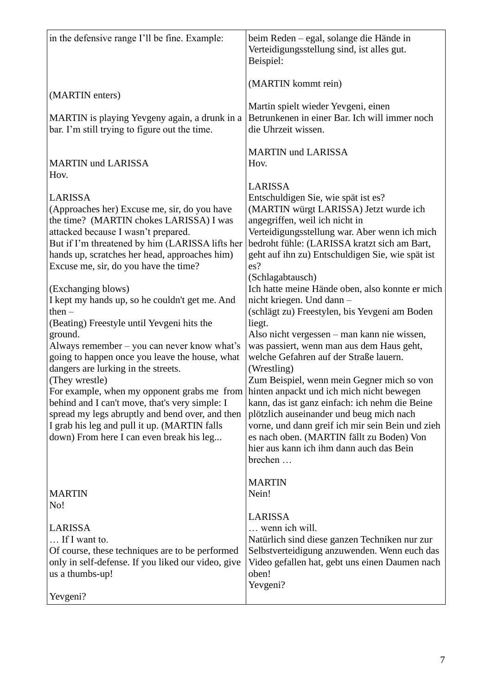| (MARTIN kommt rein)<br>Martin spielt wieder Yevgeni, einen                                                                                                                                                                                                                                                                                                                                                                                                                                                                                                                                                                                             |
|--------------------------------------------------------------------------------------------------------------------------------------------------------------------------------------------------------------------------------------------------------------------------------------------------------------------------------------------------------------------------------------------------------------------------------------------------------------------------------------------------------------------------------------------------------------------------------------------------------------------------------------------------------|
|                                                                                                                                                                                                                                                                                                                                                                                                                                                                                                                                                                                                                                                        |
| Betrunkenen in einer Bar. Ich will immer noch<br>die Uhrzeit wissen.                                                                                                                                                                                                                                                                                                                                                                                                                                                                                                                                                                                   |
| <b>MARTIN und LARISSA</b><br>Hov.                                                                                                                                                                                                                                                                                                                                                                                                                                                                                                                                                                                                                      |
| <b>LARISSA</b><br>Entschuldigen Sie, wie spät ist es?<br>(MARTIN würgt LARISSA) Jetzt wurde ich<br>angegriffen, weil ich nicht in<br>Verteidigungsstellung war. Aber wenn ich mich<br>bedroht fühle: (LARISSA kratzt sich am Bart,<br>geht auf ihn zu) Entschuldigen Sie, wie spät ist                                                                                                                                                                                                                                                                                                                                                                 |
| (Schlagabtausch)<br>Ich hatte meine Hände oben, also konnte er mich<br>nicht kriegen. Und dann -<br>(schlägt zu) Freestylen, bis Yevgeni am Boden<br>liegt.<br>Also nicht vergessen – man kann nie wissen,<br>was passiert, wenn man aus dem Haus geht,<br>welche Gefahren auf der Straße lauern.<br>(Wrestling)<br>Zum Beispiel, wenn mein Gegner mich so von<br>hinten anpackt und ich mich nicht bewegen<br>kann, das ist ganz einfach: ich nehm die Beine<br>plötzlich auseinander und beug mich nach<br>vorne, und dann greif ich mir sein Bein und zieh<br>es nach oben. (MARTIN fällt zu Boden) Von<br>hier aus kann ich ihm dann auch das Bein |
| brechen<br><b>MARTIN</b><br>Nein!<br><b>LARISSA</b><br>wenn ich will.<br>Natürlich sind diese ganzen Techniken nur zur<br>Selbstverteidigung anzuwenden. Wenn euch das<br>Video gefallen hat, gebt uns einen Daumen nach<br>oben!<br>Yevgeni?                                                                                                                                                                                                                                                                                                                                                                                                          |
| es?                                                                                                                                                                                                                                                                                                                                                                                                                                                                                                                                                                                                                                                    |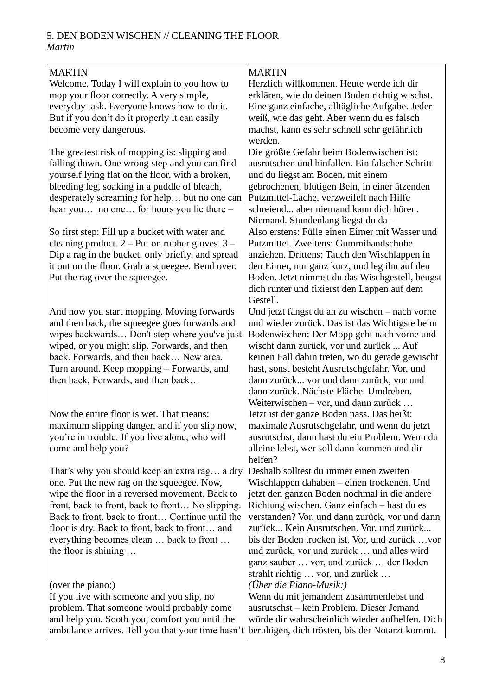#### 5. DEN BODEN WISCHEN // CLEANING THE FLOOR *Martin*

| <b>MARTIN</b>                                       | <b>MARTIN</b>                                   |
|-----------------------------------------------------|-------------------------------------------------|
| Welcome. Today I will explain to you how to         | Herzlich willkommen. Heute werde ich dir        |
| mop your floor correctly. A very simple,            | erklären, wie du deinen Boden richtig wischst.  |
|                                                     |                                                 |
| everyday task. Everyone knows how to do it.         | Eine ganz einfache, alltägliche Aufgabe. Jeder  |
| But if you don't do it properly it can easily       | weiß, wie das geht. Aber wenn du es falsch      |
| become very dangerous.                              | machst, kann es sehr schnell sehr gefährlich    |
|                                                     | werden.                                         |
| The greatest risk of mopping is: slipping and       | Die größte Gefahr beim Bodenwischen ist:        |
| falling down. One wrong step and you can find       | ausrutschen und hinfallen. Ein falscher Schritt |
| yourself lying flat on the floor, with a broken,    | und du liegst am Boden, mit einem               |
| bleeding leg, soaking in a puddle of bleach,        | gebrochenen, blutigen Bein, in einer ätzenden   |
| desperately screaming for help but no one can       | Putzmittel-Lache, verzweifelt nach Hilfe        |
|                                                     | schreiend aber niemand kann dich hören.         |
| hear you no one for hours you lie there -           |                                                 |
|                                                     | Niemand. Stundenlang liegst du da-              |
| So first step: Fill up a bucket with water and      | Also erstens: Fülle einen Eimer mit Wasser und  |
| cleaning product. $2 - Put$ on rubber gloves. $3 -$ | Putzmittel. Zweitens: Gummihandschuhe           |
| Dip a rag in the bucket, only briefly, and spread   | anziehen. Drittens: Tauch den Wischlappen in    |
| it out on the floor. Grab a squeegee. Bend over.    | den Eimer, nur ganz kurz, und leg ihn auf den   |
| Put the rag over the squeegee.                      | Boden. Jetzt nimmst du das Wischgestell, beugst |
|                                                     | dich runter und fixierst den Lappen auf dem     |
|                                                     | Gestell.                                        |
| And now you start mopping. Moving forwards          | Und jetzt fängst du an zu wischen – nach vorne  |
| and then back, the squeegee goes forwards and       | und wieder zurück. Das ist das Wichtigste beim  |
|                                                     |                                                 |
| wipes backwards Don't step where you've just        | Bodenwischen: Der Mopp geht nach vorne und      |
| wiped, or you might slip. Forwards, and then        | wischt dann zurück, vor und zurück  Auf         |
| back. Forwards, and then back New area.             | keinen Fall dahin treten, wo du gerade gewischt |
| Turn around. Keep mopping – Forwards, and           | hast, sonst besteht Ausrutschgefahr. Vor, und   |
| then back, Forwards, and then back                  | dann zurück vor und dann zurück, vor und        |
|                                                     | dann zurück. Nächste Fläche. Umdrehen.          |
|                                                     | Weiterwischen - vor, und dann zurück            |
| Now the entire floor is wet. That means:            | Jetzt ist der ganze Boden nass. Das heißt:      |
| maximum slipping danger, and if you slip now,       | maximale Ausrutschgefahr, und wenn du jetzt     |
| you're in trouble. If you live alone, who will      | ausrutschst, dann hast du ein Problem. Wenn du  |
| come and help you?                                  | alleine lebst, wer soll dann kommen und dir     |
|                                                     | helfen?                                         |
| That's why you should keep an extra rag a dry       | Deshalb solltest du immer einen zweiten         |
|                                                     |                                                 |
| one. Put the new rag on the squeegee. Now,          | Wischlappen dahaben – einen trockenen. Und      |
| wipe the floor in a reversed movement. Back to      | jetzt den ganzen Boden nochmal in die andere    |
| front, back to front, back to front No slipping.    | Richtung wischen. Ganz einfach – hast du es     |
| Back to front, back to front Continue until the     | verstanden? Vor, und dann zurück, vor und dann  |
| floor is dry. Back to front, back to front and      | zurück Kein Ausrutschen. Vor, und zurück        |
| everything becomes clean  back to front             | bis der Boden trocken ist. Vor, und zurück  vor |
| the floor is shining                                | und zurück, vor und zurück  und alles wird      |
|                                                     | ganz sauber  vor, und zurück  der Boden         |
|                                                     | strahlt richtig  vor, und zurück                |
| (over the piano:)                                   | ( <i>Über die Piano-Musik:</i> )                |
| If you live with someone and you slip, no           | Wenn du mit jemandem zusammenlebst und          |
| problem. That someone would probably come           | ausrutschst – kein Problem. Dieser Jemand       |
|                                                     |                                                 |
| and help you. Sooth you, comfort you until the      | würde dir wahrscheinlich wieder aufhelfen. Dich |
| ambulance arrives. Tell you that your time hasn't   | beruhigen, dich trösten, bis der Notarzt kommt. |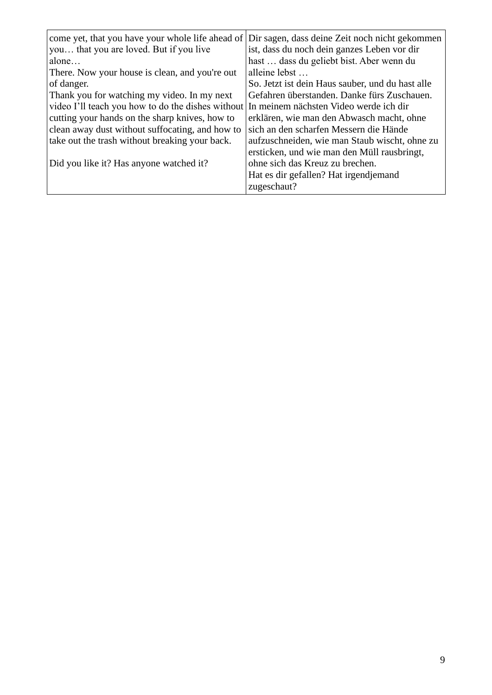| come yet, that you have your whole life ahead of                                         | Dir sagen, dass deine Zeit noch nicht gekommen   |
|------------------------------------------------------------------------------------------|--------------------------------------------------|
| you that you are loved. But if you live                                                  | ist, dass du noch dein ganzes Leben vor dir      |
| alone                                                                                    | hast  dass du geliebt bist. Aber wenn du         |
| There. Now your house is clean, and you're out                                           | alleine lebst                                    |
| of danger.                                                                               | So. Jetzt ist dein Haus sauber, und du hast alle |
| Thank you for watching my video. In my next                                              | Gefahren überstanden. Danke fürs Zuschauen.      |
| video I'll teach you how to do the dishes without In meinem nächsten Video werde ich dir |                                                  |
| cutting your hands on the sharp knives, how to                                           | erklären, wie man den Abwasch macht, ohne        |
| clean away dust without suffocating, and how to                                          | sich an den scharfen Messern die Hände           |
| take out the trash without breaking your back.                                           | aufzuschneiden, wie man Staub wischt, ohne zu    |
|                                                                                          | ersticken, und wie man den Müll rausbringt,      |
| Did you like it? Has anyone watched it?                                                  | ohne sich das Kreuz zu brechen.                  |
|                                                                                          | Hat es dir gefallen? Hat irgendjemand            |
|                                                                                          | zugeschaut?                                      |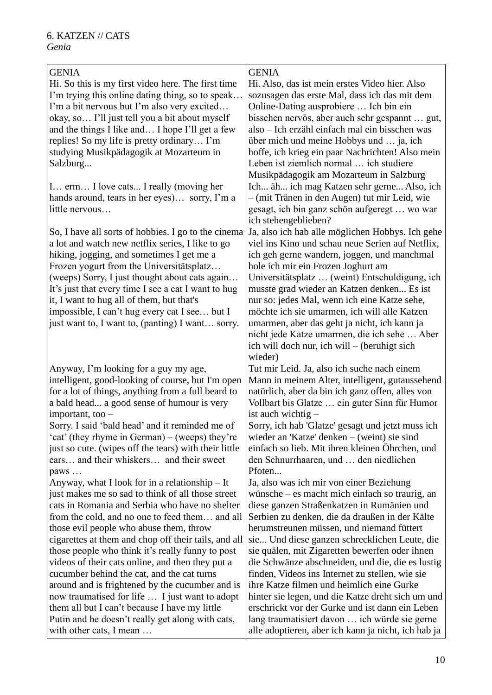| <b>GENIA</b>                                          | <b>GENIA</b>                                        |
|-------------------------------------------------------|-----------------------------------------------------|
| Hi. So this is my first video here. The first time    | Hi. Also, das ist mein erstes Video hier. Also      |
| I'm trying this online dating thing, so to speak      | sozusagen das erste Mal, dass ich das mit dem       |
| I'm a bit nervous but I'm also very excited           | Online-Dating ausprobiere  Ich bin ein              |
| okay, so I'll just tell you a bit about myself        | bisschen nervös, aber auch sehr gespannt  gut,      |
| and the things I like and I hope I'll get a few       | also – Ich erzähl einfach mal ein bisschen was      |
| replies! So my life is pretty ordinary I'm            | über mich und meine Hobbys und  ja, ich             |
| studying Musikpädagogik at Mozarteum in               | hoffe, ich krieg ein paar Nachrichten! Also mein    |
| Salzburg                                              | Leben ist ziemlich normal  ich studiere             |
|                                                       | Musikpädagogik am Mozarteum in Salzburg             |
| I erm I love cats I really (moving her                | Ich äh ich mag Katzen sehr gerne Also, ich          |
| hands around, tears in her eyes) sorry, I'm a         | - (mit Tränen in den Augen) tut mir Leid, wie       |
| little nervous                                        | gesagt, ich bin ganz schön aufgeregt  wo war        |
|                                                       | ich stehengeblieben?                                |
| So, I have all sorts of hobbies. I go to the cinema   | Ja, also ich hab alle möglichen Hobbys. Ich gehe    |
| a lot and watch new netflix series, I like to go      | viel ins Kino und schau neue Serien auf Netflix,    |
| hiking, jogging, and sometimes I get me a             | ich geh gerne wandern, joggen, und manchmal         |
| Frozen yogurt from the Universitätsplatz              | hole ich mir ein Frozen Joghurt am                  |
| (weeps) Sorry, I just thought about cats again        | Universitätsplatz  (weint) Entschuldigung, ich      |
| It's just that every time I see a cat I want to hug   | musste grad wieder an Katzen denken Es ist          |
| it, I want to hug all of them, but that's             | nur so: jedes Mal, wenn ich eine Katze sehe,        |
| impossible, I can't hug every cat I see but I         | möchte ich sie umarmen, ich will alle Katzen        |
| just want to, I want to, (panting) I want sorry.      | umarmen, aber das geht ja nicht, ich kann ja        |
|                                                       | nicht jede Katze umarmen, die ich sehe  Aber        |
|                                                       | ich will doch nur, ich will – (beruhigt sich        |
|                                                       | wieder)                                             |
| Anyway, I'm looking for a guy my age,                 | Tut mir Leid. Ja, also ich suche nach einem         |
| intelligent, good-looking of course, but I'm open     | Mann in meinem Alter, intelligent, gutaussehend     |
| for a lot of things, anything from a full beard to    | natürlich, aber da bin ich ganz offen, alles von    |
| a bald head a good sense of humour is very            | Vollbart bis Glatze  ein guter Sinn für Humor       |
| important, too $-$                                    | ist auch wichtig –                                  |
| Sorry. I said 'bald head' and it reminded me of       | Sorry, ich hab 'Glatze' gesagt und jetzt muss ich   |
| cat' (they rhyme in German) – (weeps) they're         | wieder an 'Katze' denken $-$ (weint) sie sind       |
| just so cute. (wipes off the tears) with their little | einfach so lieb. Mit ihren kleinen Öhrchen, und     |
| ears and their whiskers and their sweet               | den Schnurrhaaren, und  den niedlichen              |
| paws                                                  | Pfoten                                              |
| Anyway, what I look for in a relationship $-$ It      | Ja, also was ich mir von einer Beziehung            |
| just makes me so sad to think of all those street     | wünsche – es macht mich einfach so traurig, an      |
| cats in Romania and Serbia who have no shelter        | diese ganzen Straßenkatzen in Rumänien und          |
| from the cold, and no one to feed them and all        | Serbien zu denken, die da draußen in der Kälte      |
| those evil people who abuse them, throw               | herumstreunen müssen, und niemand füttert           |
| cigarettes at them and chop off their tails, and all  | sie Und diese ganzen schrecklichen Leute, die       |
| those people who think it's really funny to post      | sie quälen, mit Zigaretten bewerfen oder ihnen      |
| videos of their cats online, and then they put a      | die Schwänze abschneiden, und die, die es lustig    |
| cucumber behind the cat, and the cat turns            | finden, Videos ins Internet zu stellen, wie sie     |
| around and is frightened by the cucumber and is       | ihre Katze filmen und heimlich eine Gurke           |
| now traumatised for life  I just want to adopt        | hinter sie legen, und die Katze dreht sich um und   |
| them all but I can't because I have my little         | erschrickt vor der Gurke und ist dann ein Leben     |
| Putin and he doesn't really get along with cats,      | lang traumatisiert davon  ich würde sie gerne       |
| with other cats, I mean                               | alle adoptieren, aber ich kann ja nicht, ich hab ja |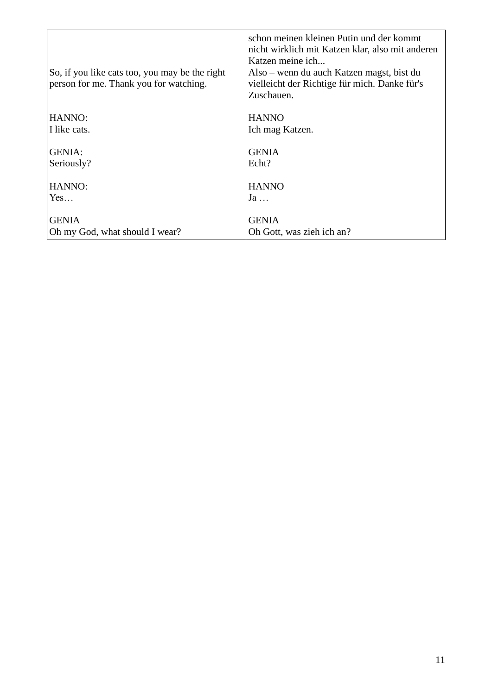| So, if you like cats too, you may be the right<br>person for me. Thank you for watching. | schon meinen kleinen Putin und der kommt<br>nicht wirklich mit Katzen klar, also mit anderen<br>Katzen meine ich<br>Also – wenn du auch Katzen magst, bist du<br>vielleicht der Richtige für mich. Danke für's<br>Zuschauen. |
|------------------------------------------------------------------------------------------|------------------------------------------------------------------------------------------------------------------------------------------------------------------------------------------------------------------------------|
| HANNO:                                                                                   | <b>HANNO</b>                                                                                                                                                                                                                 |
| I like cats.                                                                             | Ich mag Katzen.                                                                                                                                                                                                              |
| <b>GENIA:</b><br>Seriously?                                                              | <b>GENIA</b><br>Echt?                                                                                                                                                                                                        |
| HANNO:                                                                                   | <b>HANNO</b>                                                                                                                                                                                                                 |
| Yes                                                                                      | $Ja \ldots$                                                                                                                                                                                                                  |
| <b>GENIA</b><br>Oh my God, what should I wear?                                           | <b>GENIA</b><br>Oh Gott, was zieh ich an?                                                                                                                                                                                    |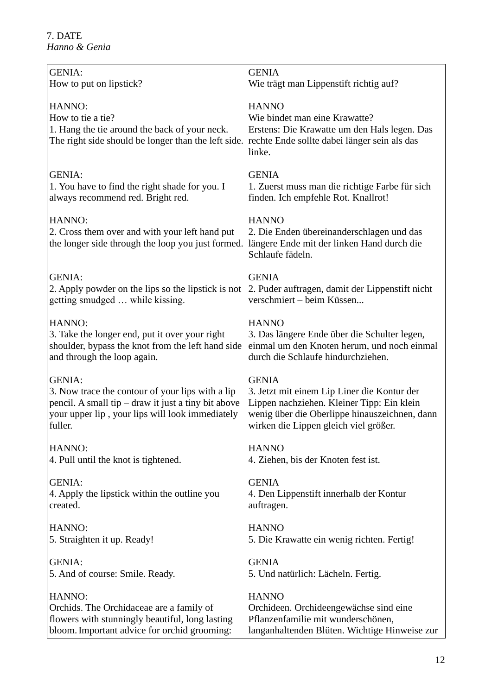| <b>GENIA:</b>                                                                                                                       | <b>GENIA</b>                                                                                                                                            |
|-------------------------------------------------------------------------------------------------------------------------------------|---------------------------------------------------------------------------------------------------------------------------------------------------------|
| How to put on lipstick?                                                                                                             | Wie trägt man Lippenstift richtig auf?                                                                                                                  |
| HANNO:<br>How to tie a tie?<br>1. Hang the tie around the back of your neck.<br>The right side should be longer than the left side. | <b>HANNO</b><br>Wie bindet man eine Krawatte?<br>Erstens: Die Krawatte um den Hals legen. Das<br>rechte Ende sollte dabei länger sein als das<br>linke. |
| <b>GENIA:</b>                                                                                                                       | <b>GENIA</b>                                                                                                                                            |
| 1. You have to find the right shade for you. I                                                                                      | 1. Zuerst muss man die richtige Farbe für sich                                                                                                          |
| always recommend red. Bright red.                                                                                                   | finden. Ich empfehle Rot. Knallrot!                                                                                                                     |
| HANNO:<br>2. Cross them over and with your left hand put<br>the longer side through the loop you just formed.                       | <b>HANNO</b><br>2. Die Enden übereinanderschlagen und das<br>längere Ende mit der linken Hand durch die<br>Schlaufe fädeln.                             |
| <b>GENIA:</b>                                                                                                                       | <b>GENIA</b>                                                                                                                                            |
| 2. Apply powder on the lips so the lipstick is not                                                                                  | 2. Puder auftragen, damit der Lippenstift nicht                                                                                                         |
| getting smudged  while kissing.                                                                                                     | verschmiert - beim Küssen                                                                                                                               |
| HANNO:                                                                                                                              | <b>HANNO</b>                                                                                                                                            |
| 3. Take the longer end, put it over your right                                                                                      | 3. Das längere Ende über die Schulter legen,                                                                                                            |
| shoulder, bypass the knot from the left hand side                                                                                   | einmal um den Knoten herum, und noch einmal                                                                                                             |
| and through the loop again.                                                                                                         | durch die Schlaufe hindurchziehen.                                                                                                                      |
| <b>GENIA:</b>                                                                                                                       | <b>GENIA</b>                                                                                                                                            |
| 3. Now trace the contour of your lips with a lip                                                                                    | 3. Jetzt mit einem Lip Liner die Kontur der                                                                                                             |
| pencil. A small tip – draw it just a tiny bit above                                                                                 | Lippen nachziehen. Kleiner Tipp: Ein klein                                                                                                              |
| your upper lip, your lips will look immediately                                                                                     | wenig über die Oberlippe hinauszeichnen, dann                                                                                                           |
| fuller.                                                                                                                             | wirken die Lippen gleich viel größer.                                                                                                                   |
| HANNO:                                                                                                                              | <b>HANNO</b>                                                                                                                                            |
| 4. Pull until the knot is tightened.                                                                                                | 4. Ziehen, bis der Knoten fest ist.                                                                                                                     |
| <b>GENIA:</b>                                                                                                                       | <b>GENIA</b>                                                                                                                                            |
| 4. Apply the lipstick within the outline you                                                                                        | 4. Den Lippenstift innerhalb der Kontur                                                                                                                 |
| created.                                                                                                                            | auftragen.                                                                                                                                              |
| HANNO:                                                                                                                              | <b>HANNO</b>                                                                                                                                            |
| 5. Straighten it up. Ready!                                                                                                         | 5. Die Krawatte ein wenig richten. Fertig!                                                                                                              |
| <b>GENIA:</b>                                                                                                                       | <b>GENIA</b>                                                                                                                                            |
| 5. And of course: Smile. Ready.                                                                                                     | 5. Und natürlich: Lächeln. Fertig.                                                                                                                      |
| HANNO:                                                                                                                              | <b>HANNO</b>                                                                                                                                            |
| Orchids. The Orchidaceae are a family of                                                                                            | Orchideen. Orchideengewächse sind eine                                                                                                                  |
| flowers with stunningly beautiful, long lasting                                                                                     | Pflanzenfamilie mit wunderschönen,                                                                                                                      |
| bloom. Important advice for orchid grooming:                                                                                        | langanhaltenden Blüten. Wichtige Hinweise zur                                                                                                           |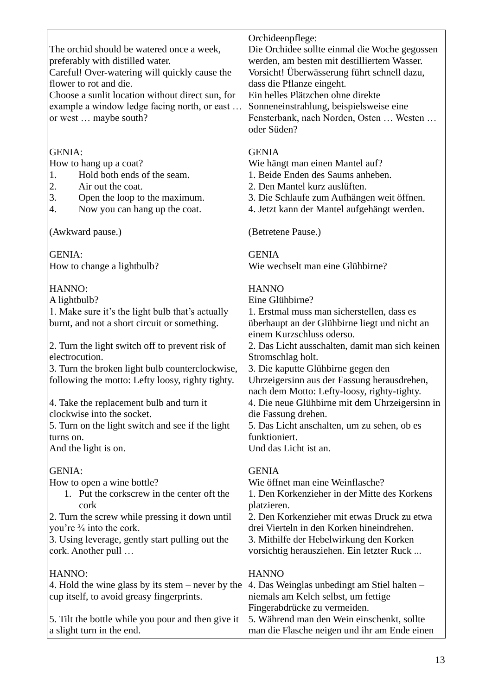| The orchid should be watered once a week,<br>preferably with distilled water.<br>Careful! Over-watering will quickly cause the<br>flower to rot and die.<br>Choose a sunlit location without direct sun, for<br>example a window ledge facing north, or east<br>or west  maybe south? | Orchideenpflege:<br>Die Orchidee sollte einmal die Woche gegossen<br>werden, am besten mit destilliertem Wasser.<br>Vorsicht! Überwässerung führt schnell dazu,<br>dass die Pflanze eingeht.<br>Ein helles Plätzchen ohne direkte<br>Sonneneinstrahlung, beispielsweise eine<br>Fensterbank, nach Norden, Osten  Westen<br>oder Süden? |
|---------------------------------------------------------------------------------------------------------------------------------------------------------------------------------------------------------------------------------------------------------------------------------------|----------------------------------------------------------------------------------------------------------------------------------------------------------------------------------------------------------------------------------------------------------------------------------------------------------------------------------------|
| <b>GENIA:</b>                                                                                                                                                                                                                                                                         | <b>GENIA</b>                                                                                                                                                                                                                                                                                                                           |
| How to hang up a coat?                                                                                                                                                                                                                                                                | Wie hängt man einen Mantel auf?                                                                                                                                                                                                                                                                                                        |
| Hold both ends of the seam.<br>1.                                                                                                                                                                                                                                                     | 1. Beide Enden des Saums anheben.                                                                                                                                                                                                                                                                                                      |
| 2.<br>Air out the coat.<br>3.<br>Open the loop to the maximum.                                                                                                                                                                                                                        | 2. Den Mantel kurz auslüften.<br>3. Die Schlaufe zum Aufhängen weit öffnen.                                                                                                                                                                                                                                                            |
| Now you can hang up the coat.<br>4.                                                                                                                                                                                                                                                   | 4. Jetzt kann der Mantel aufgehängt werden.                                                                                                                                                                                                                                                                                            |
| (Awkward pause.)                                                                                                                                                                                                                                                                      | (Betretene Pause.)                                                                                                                                                                                                                                                                                                                     |
|                                                                                                                                                                                                                                                                                       |                                                                                                                                                                                                                                                                                                                                        |
| <b>GENIA:</b>                                                                                                                                                                                                                                                                         | <b>GENIA</b>                                                                                                                                                                                                                                                                                                                           |
| How to change a lightbulb?                                                                                                                                                                                                                                                            | Wie wechselt man eine Glühbirne?                                                                                                                                                                                                                                                                                                       |
| HANNO:                                                                                                                                                                                                                                                                                | <b>HANNO</b>                                                                                                                                                                                                                                                                                                                           |
| A lightbulb?                                                                                                                                                                                                                                                                          | Eine Glühbirne?                                                                                                                                                                                                                                                                                                                        |
| 1. Make sure it's the light bulb that's actually                                                                                                                                                                                                                                      | 1. Erstmal muss man sicherstellen, dass es                                                                                                                                                                                                                                                                                             |
| burnt, and not a short circuit or something.                                                                                                                                                                                                                                          | überhaupt an der Glühbirne liegt und nicht an                                                                                                                                                                                                                                                                                          |
| 2. Turn the light switch off to prevent risk of                                                                                                                                                                                                                                       | einem Kurzschluss oderso.<br>2. Das Licht ausschalten, damit man sich keinen                                                                                                                                                                                                                                                           |
| electrocution.                                                                                                                                                                                                                                                                        | Stromschlag holt.                                                                                                                                                                                                                                                                                                                      |
| 3. Turn the broken light bulb counterclockwise,                                                                                                                                                                                                                                       | 3. Die kaputte Glühbirne gegen den                                                                                                                                                                                                                                                                                                     |
| following the motto: Lefty loosy, righty tighty.                                                                                                                                                                                                                                      | Uhrzeigersinn aus der Fassung herausdrehen,                                                                                                                                                                                                                                                                                            |
|                                                                                                                                                                                                                                                                                       | nach dem Motto: Lefty-loosy, righty-tighty.                                                                                                                                                                                                                                                                                            |
| 4. Take the replacement bulb and turn it                                                                                                                                                                                                                                              | 4. Die neue Glühbirne mit dem Uhrzeigersinn in                                                                                                                                                                                                                                                                                         |
| clockwise into the socket.<br>5. Turn on the light switch and see if the light                                                                                                                                                                                                        | die Fassung drehen.<br>5. Das Licht anschalten, um zu sehen, ob es                                                                                                                                                                                                                                                                     |
| turns on.                                                                                                                                                                                                                                                                             | funktioniert.                                                                                                                                                                                                                                                                                                                          |
| And the light is on.                                                                                                                                                                                                                                                                  | Und das Licht ist an.                                                                                                                                                                                                                                                                                                                  |
|                                                                                                                                                                                                                                                                                       |                                                                                                                                                                                                                                                                                                                                        |
| <b>GENIA:</b><br>How to open a wine bottle?                                                                                                                                                                                                                                           | <b>GENIA</b><br>Wie öffnet man eine Weinflasche?                                                                                                                                                                                                                                                                                       |
| 1. Put the corkscrew in the center oft the                                                                                                                                                                                                                                            | 1. Den Korkenzieher in der Mitte des Korkens                                                                                                                                                                                                                                                                                           |
| cork                                                                                                                                                                                                                                                                                  | platzieren.                                                                                                                                                                                                                                                                                                                            |
| 2. Turn the screw while pressing it down until<br>you're $\frac{3}{4}$ into the cork.                                                                                                                                                                                                 | 2. Den Korkenzieher mit etwas Druck zu etwa<br>drei Vierteln in den Korken hineindrehen.                                                                                                                                                                                                                                               |
| 3. Using leverage, gently start pulling out the                                                                                                                                                                                                                                       | 3. Mithilfe der Hebelwirkung den Korken                                                                                                                                                                                                                                                                                                |
| cork. Another pull                                                                                                                                                                                                                                                                    | vorsichtig herausziehen. Ein letzter Ruck                                                                                                                                                                                                                                                                                              |
|                                                                                                                                                                                                                                                                                       |                                                                                                                                                                                                                                                                                                                                        |
| HANNO:<br>4. Hold the wine glass by its stem $-$ never by the                                                                                                                                                                                                                         | <b>HANNO</b><br>4. Das Weinglas unbedingt am Stiel halten -                                                                                                                                                                                                                                                                            |
| cup itself, to avoid greasy fingerprints.                                                                                                                                                                                                                                             | niemals am Kelch selbst, um fettige                                                                                                                                                                                                                                                                                                    |
|                                                                                                                                                                                                                                                                                       | Fingerabdrücke zu vermeiden.                                                                                                                                                                                                                                                                                                           |
| 5. Tilt the bottle while you pour and then give it                                                                                                                                                                                                                                    | 5. Während man den Wein einschenkt, sollte                                                                                                                                                                                                                                                                                             |
| a slight turn in the end.                                                                                                                                                                                                                                                             | man die Flasche neigen und ihr am Ende einen                                                                                                                                                                                                                                                                                           |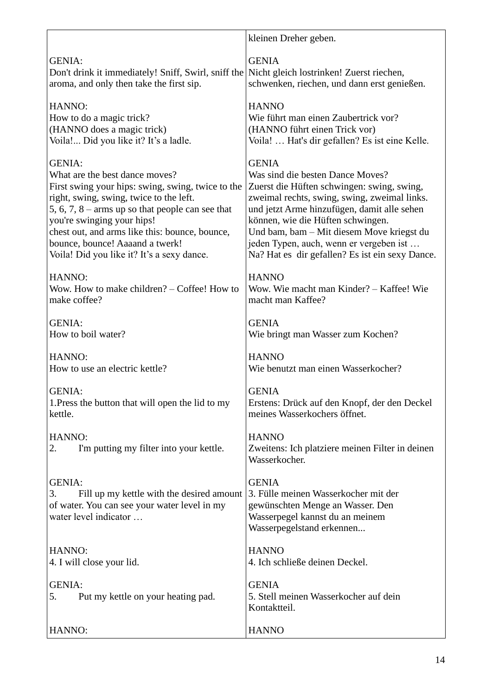|                                                     | kleinen Dreher geben.                           |
|-----------------------------------------------------|-------------------------------------------------|
| <b>GENIA:</b>                                       | <b>GENIA</b>                                    |
| Don't drink it immediately! Sniff, Swirl, sniff the | Nicht gleich lostrinken! Zuerst riechen,        |
| aroma, and only then take the first sip.            | schwenken, riechen, und dann erst genießen.     |
| HANNO:                                              | <b>HANNO</b>                                    |
| How to do a magic trick?                            | Wie führt man einen Zaubertrick vor?            |
| (HANNO does a magic trick)                          | (HANNO führt einen Trick vor)                   |
| Voila! Did you like it? It's a ladle.               | Voila!  Hat's dir gefallen? Es ist eine Kelle.  |
| <b>GENIA:</b>                                       | <b>GENIA</b>                                    |
| What are the best dance moves?                      | Was sind die besten Dance Moves?                |
| First swing your hips: swing, swing, twice to the   | Zuerst die Hüften schwingen: swing, swing,      |
| right, swing, swing, twice to the left.             | zweimal rechts, swing, swing, zweimal links.    |
| 5, 6, 7, 8 – arms up so that people can see that    | und jetzt Arme hinzufügen, damit alle sehen     |
| you're swinging your hips!                          | können, wie die Hüften schwingen.               |
| chest out, and arms like this: bounce, bounce,      | Und bam, bam - Mit diesem Move kriegst du       |
| bounce, bounce! Aaaand a twerk!                     | jeden Typen, auch, wenn er vergeben ist         |
| Voila! Did you like it? It's a sexy dance.          | Na? Hat es dir gefallen? Es ist ein sexy Dance. |
| HANNO:                                              | <b>HANNO</b>                                    |
| Wow. How to make children? – Coffee! How to         | Wow. Wie macht man Kinder? – Kaffee! Wie        |
| make coffee?                                        | macht man Kaffee?                               |
| <b>GENIA:</b>                                       | <b>GENIA</b>                                    |
| How to boil water?                                  | Wie bringt man Wasser zum Kochen?               |
| HANNO:                                              | <b>HANNO</b>                                    |
| How to use an electric kettle?                      | Wie benutzt man einen Wasserkocher?             |
| <b>GENIA:</b>                                       | <b>GENIA</b>                                    |
| 1. Press the button that will open the lid to my    | Erstens: Drück auf den Knopf, der den Deckel    |
| kettle.                                             | meines Wasserkochers öffnet.                    |
| HANNO:                                              | <b>HANNO</b>                                    |
| I'm putting my filter into your kettle.             | Zweitens: Ich platziere meinen Filter in deinen |
| 2.                                                  | Wasserkocher.                                   |
| <b>GENIA:</b>                                       | <b>GENIA</b>                                    |
| Fill up my kettle with the desired amount           | 3. Fülle meinen Wasserkocher mit der            |
| 3.                                                  | gewünschten Menge an Wasser. Den                |
| of water. You can see your water level in my        | Wasserpegel kannst du an meinem                 |
| water level indicator                               | Wasserpegelstand erkennen                       |
| HANNO:                                              | <b>HANNO</b>                                    |
| 4. I will close your lid.                           | 4. Ich schließe deinen Deckel.                  |
| <b>GENIA:</b>                                       | <b>GENIA</b>                                    |
| Put my kettle on your heating pad.                  | 5. Stell meinen Wasserkocher auf dein           |
| 5.                                                  | Kontaktteil.                                    |
| HANNO:                                              | <b>HANNO</b>                                    |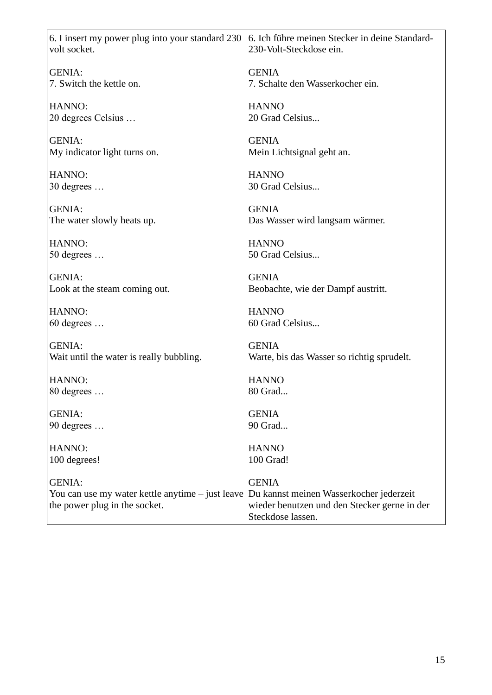| 6. I insert my power plug into your standard 230                                                   | 6. Ich führe meinen Stecker in deine Standard-                                                                               |
|----------------------------------------------------------------------------------------------------|------------------------------------------------------------------------------------------------------------------------------|
| volt socket.                                                                                       | 230-Volt-Steckdose ein.                                                                                                      |
| <b>GENIA:</b>                                                                                      | <b>GENIA</b>                                                                                                                 |
| 7. Switch the kettle on.                                                                           | 7. Schalte den Wasserkocher ein.                                                                                             |
| HANNO:                                                                                             | <b>HANNO</b>                                                                                                                 |
| 20 degrees Celsius                                                                                 | 20 Grad Celsius                                                                                                              |
| <b>GENIA:</b>                                                                                      | <b>GENIA</b>                                                                                                                 |
| My indicator light turns on.                                                                       | Mein Lichtsignal geht an.                                                                                                    |
| HANNO:                                                                                             | <b>HANNO</b>                                                                                                                 |
| $30$ degrees $\dots$                                                                               | 30 Grad Celsius                                                                                                              |
| <b>GENIA:</b>                                                                                      | <b>GENIA</b>                                                                                                                 |
| The water slowly heats up.                                                                         | Das Wasser wird langsam wärmer.                                                                                              |
| HANNO:                                                                                             | <b>HANNO</b>                                                                                                                 |
| 50 degrees                                                                                         | 50 Grad Celsius                                                                                                              |
| <b>GENIA:</b>                                                                                      | <b>GENIA</b>                                                                                                                 |
| Look at the steam coming out.                                                                      | Beobachte, wie der Dampf austritt.                                                                                           |
| HANNO:                                                                                             | <b>HANNO</b>                                                                                                                 |
| 60 degrees                                                                                         | 60 Grad Celsius                                                                                                              |
| <b>GENIA:</b>                                                                                      | <b>GENIA</b>                                                                                                                 |
| Wait until the water is really bubbling.                                                           | Warte, bis das Wasser so richtig sprudelt.                                                                                   |
| HANNO:                                                                                             | <b>HANNO</b>                                                                                                                 |
| 80 degrees                                                                                         | 80 Grad                                                                                                                      |
| <b>GENIA:</b>                                                                                      | <b>GENIA</b>                                                                                                                 |
| 90 degrees                                                                                         | 90 Grad                                                                                                                      |
| HANNO:                                                                                             | <b>HANNO</b>                                                                                                                 |
| 100 degrees!                                                                                       | 100 Grad!                                                                                                                    |
| <b>GENIA:</b><br>You can use my water kettle anytime - just leave<br>the power plug in the socket. | <b>GENIA</b><br>Du kannst meinen Wasserkocher jederzeit<br>wieder benutzen und den Stecker gerne in der<br>Steckdose lassen. |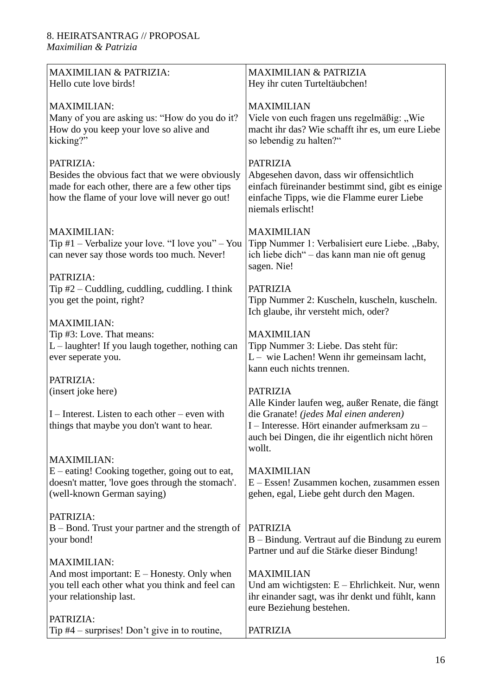#### 8. HEIRATSANTRAG // PROPOSAL *Maximilian & Patrizia*

| <b>MAXIMILIAN &amp; PATRIZIA:</b><br>Hello cute love birds!                                                                                                      | <b>MAXIMILIAN &amp; PATRIZIA</b><br>Hey ihr cuten Turteltäubchen!                                                                                                                                      |
|------------------------------------------------------------------------------------------------------------------------------------------------------------------|--------------------------------------------------------------------------------------------------------------------------------------------------------------------------------------------------------|
| <b>MAXIMILIAN:</b><br>Many of you are asking us: "How do you do it?<br>How do you keep your love so alive and<br>kicking?"                                       | <b>MAXIMILIAN</b><br>Viele von euch fragen uns regelmäßig: "Wie<br>macht ihr das? Wie schafft ihr es, um eure Liebe<br>so lebendig zu halten?"                                                         |
| PATRIZIA:<br>Besides the obvious fact that we were obviously<br>made for each other, there are a few other tips<br>how the flame of your love will never go out! | <b>PATRIZIA</b><br>Abgesehen davon, dass wir offensichtlich<br>einfach füreinander bestimmt sind, gibt es einige<br>einfache Tipps, wie die Flamme eurer Liebe<br>niemals erlischt!                    |
| <b>MAXIMILIAN:</b><br>Tip $#1$ – Verbalize your love. "I love you" – You<br>can never say those words too much. Never!                                           | <b>MAXIMILIAN</b><br>Tipp Nummer 1: Verbalisiert eure Liebe. "Baby,<br>ich liebe dich" - das kann man nie oft genug<br>sagen. Nie!                                                                     |
| PATRIZIA:<br>Tip $#2$ – Cuddling, cuddling, cuddling. I think<br>you get the point, right?                                                                       | <b>PATRIZIA</b><br>Tipp Nummer 2: Kuscheln, kuscheln, kuscheln.<br>Ich glaube, ihr versteht mich, oder?                                                                                                |
| <b>MAXIMILIAN:</b><br>Tip #3: Love. That means:<br>L - laughter! If you laugh together, nothing can<br>ever seperate you.                                        | <b>MAXIMILIAN</b><br>Tipp Nummer 3: Liebe. Das steht für:<br>$L$ – wie Lachen! Wenn ihr gemeinsam lacht,<br>kann euch nichts trennen.                                                                  |
| PATRIZIA:                                                                                                                                                        |                                                                                                                                                                                                        |
| (insert joke here)                                                                                                                                               | <b>PATRIZIA</b>                                                                                                                                                                                        |
| $I$ – Interest. Listen to each other – even with<br>things that maybe you don't want to hear.                                                                    | Alle Kinder laufen weg, außer Renate, die fängt<br>die Granate! (jedes Mal einen anderen)<br>I – Interesse. Hört einander aufmerksam zu –<br>auch bei Dingen, die ihr eigentlich nicht hören<br>wollt. |
| <b>MAXIMILIAN:</b><br>$E$ – eating! Cooking together, going out to eat,<br>doesn't matter, 'love goes through the stomach'.<br>(well-known German saying)        | <b>MAXIMILIAN</b><br>E – Essen! Zusammen kochen, zusammen essen<br>gehen, egal, Liebe geht durch den Magen.                                                                                            |
| PATRIZIA:<br>B – Bond. Trust your partner and the strength of<br>your bond!                                                                                      | <b>PATRIZIA</b><br>B – Bindung. Vertraut auf die Bindung zu eurem<br>Partner und auf die Stärke dieser Bindung!                                                                                        |
| <b>MAXIMILIAN:</b><br>And most important: $E -$ Honesty. Only when<br>you tell each other what you think and feel can<br>your relationship last.                 | <b>MAXIMILIAN</b><br>Und am wichtigsten: $E$ – Ehrlichkeit. Nur, wenn<br>ihr einander sagt, was ihr denkt und fühlt, kann<br>eure Beziehung bestehen.                                                  |
| PATRIZIA:<br>Tip $#4$ – surprises! Don't give in to routine,                                                                                                     | <b>PATRIZIA</b>                                                                                                                                                                                        |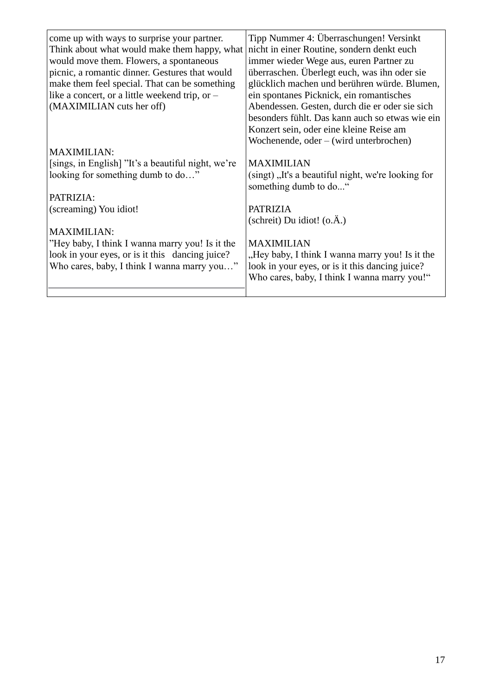| come up with ways to surprise your partner.<br>Think about what would make them happy, what<br>would move them. Flowers, a spontaneous<br>picnic, a romantic dinner. Gestures that would<br>make them feel special. That can be something<br>like a concert, or a little weekend trip, or $-$<br>(MAXIMILIAN cuts her off) | Tipp Nummer 4: Überraschungen! Versinkt<br>nicht in einer Routine, sondern denkt euch<br>immer wieder Wege aus, euren Partner zu<br>überraschen. Überlegt euch, was ihn oder sie<br>glücklich machen und berühren würde. Blumen,<br>ein spontanes Picknick, ein romantisches<br>Abendessen. Gesten, durch die er oder sie sich<br>besonders fühlt. Das kann auch so etwas wie ein<br>Konzert sein, oder eine kleine Reise am<br>Wochenende, $oder - (wird unterbrochen)$ |
|----------------------------------------------------------------------------------------------------------------------------------------------------------------------------------------------------------------------------------------------------------------------------------------------------------------------------|--------------------------------------------------------------------------------------------------------------------------------------------------------------------------------------------------------------------------------------------------------------------------------------------------------------------------------------------------------------------------------------------------------------------------------------------------------------------------|
| <b>MAXIMILIAN:</b>                                                                                                                                                                                                                                                                                                         |                                                                                                                                                                                                                                                                                                                                                                                                                                                                          |
| [sings, in English] "It's a beautiful night, we're<br>looking for something dumb to do"<br>PATRIZIA:                                                                                                                                                                                                                       | <b>MAXIMILIAN</b><br>(singt), It's a beautiful night, we're looking for<br>something dumb to do"                                                                                                                                                                                                                                                                                                                                                                         |
| (screaming) You idiot!                                                                                                                                                                                                                                                                                                     | <b>PATRIZIA</b>                                                                                                                                                                                                                                                                                                                                                                                                                                                          |
|                                                                                                                                                                                                                                                                                                                            | (schreit) Du idiot! $(o.\AA.)$                                                                                                                                                                                                                                                                                                                                                                                                                                           |
| <b>MAXIMILIAN:</b>                                                                                                                                                                                                                                                                                                         |                                                                                                                                                                                                                                                                                                                                                                                                                                                                          |
| "Hey baby, I think I wanna marry you! Is it the<br>look in your eyes, or is it this dancing juice?<br>Who cares, baby, I think I wanna marry you"                                                                                                                                                                          | <b>MAXIMILIAN</b><br>"Hey baby, I think I wanna marry you! Is it the<br>look in your eyes, or is it this dancing juice?<br>Who cares, baby, I think I wanna marry you!"                                                                                                                                                                                                                                                                                                  |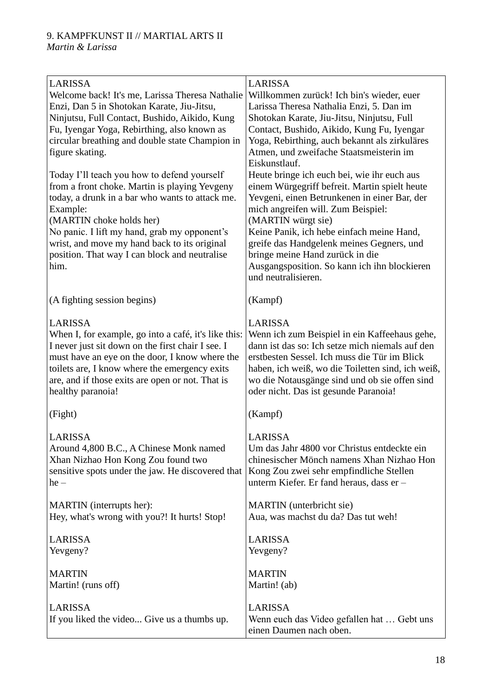| <b>LARISSA</b><br>Welcome back! It's me, Larissa Theresa Nathalie<br>Enzi, Dan 5 in Shotokan Karate, Jiu-Jitsu,<br>Ninjutsu, Full Contact, Bushido, Aikido, Kung<br>Fu, Iyengar Yoga, Rebirthing, also known as<br>circular breathing and double state Champion in<br>figure skating.                                                            | <b>LARISSA</b><br>Willkommen zurück! Ich bin's wieder, euer<br>Larissa Theresa Nathalia Enzi, 5. Dan im<br>Shotokan Karate, Jiu-Jitsu, Ninjutsu, Full<br>Contact, Bushido, Aikido, Kung Fu, Iyengar<br>Yoga, Rebirthing, auch bekannt als zirkuläres<br>Atmen, und zweifache Staatsmeisterin im<br>Eiskunstlauf.                                                                                             |
|--------------------------------------------------------------------------------------------------------------------------------------------------------------------------------------------------------------------------------------------------------------------------------------------------------------------------------------------------|--------------------------------------------------------------------------------------------------------------------------------------------------------------------------------------------------------------------------------------------------------------------------------------------------------------------------------------------------------------------------------------------------------------|
| Today I'll teach you how to defend yourself<br>from a front choke. Martin is playing Yevgeny<br>today, a drunk in a bar who wants to attack me.<br>Example:<br>(MARTIN choke holds her)<br>No panic. I lift my hand, grab my opponent's<br>wrist, and move my hand back to its original<br>position. That way I can block and neutralise<br>him. | Heute bringe ich euch bei, wie ihr euch aus<br>einem Würgegriff befreit. Martin spielt heute<br>Yevgeni, einen Betrunkenen in einer Bar, der<br>mich angreifen will. Zum Beispiel:<br>(MARTIN würgt sie)<br>Keine Panik, ich hebe einfach meine Hand,<br>greife das Handgelenk meines Gegners, und<br>bringe meine Hand zurück in die<br>Ausgangsposition. So kann ich ihn blockieren<br>und neutralisieren. |
| (A fighting session begins)                                                                                                                                                                                                                                                                                                                      | (Kampf)                                                                                                                                                                                                                                                                                                                                                                                                      |
| <b>LARISSA</b><br>When I, for example, go into a café, it's like this:<br>I never just sit down on the first chair I see. I<br>must have an eye on the door, I know where the<br>toilets are, I know where the emergency exits<br>are, and if those exits are open or not. That is<br>healthy paranoia!                                          | <b>LARISSA</b><br>Wenn ich zum Beispiel in ein Kaffeehaus gehe,<br>dann ist das so: Ich setze mich niemals auf den<br>erstbesten Sessel. Ich muss die Tür im Blick<br>haben, ich weiß, wo die Toiletten sind, ich weiß,<br>wo die Notausgänge sind und ob sie offen sind<br>oder nicht. Das ist gesunde Paranoia!                                                                                            |
| (Fight)                                                                                                                                                                                                                                                                                                                                          | (Kampf)                                                                                                                                                                                                                                                                                                                                                                                                      |
| <b>LARISSA</b><br>Around 4,800 B.C., A Chinese Monk named<br>Xhan Nizhao Hon Kong Zou found two<br>sensitive spots under the jaw. He discovered that<br>$he -$                                                                                                                                                                                   | LARISSA<br>Um das Jahr 4800 vor Christus entdeckte ein<br>chinesischer Mönch namens Xhan Nizhao Hon<br>Kong Zou zwei sehr empfindliche Stellen<br>unterm Kiefer. Er fand heraus, dass er -                                                                                                                                                                                                                   |
| MARTIN (interrupts her):<br>Hey, what's wrong with you?! It hurts! Stop!                                                                                                                                                                                                                                                                         | MARTIN (unterbricht sie)<br>Aua, was machst du da? Das tut weh!                                                                                                                                                                                                                                                                                                                                              |
| <b>LARISSA</b><br>Yevgeny?                                                                                                                                                                                                                                                                                                                       | <b>LARISSA</b><br>Yevgeny?                                                                                                                                                                                                                                                                                                                                                                                   |
| <b>MARTIN</b><br>Martin! (runs off)                                                                                                                                                                                                                                                                                                              | <b>MARTIN</b><br>Martin! (ab)                                                                                                                                                                                                                                                                                                                                                                                |
| LARISSA<br>If you liked the video Give us a thumbs up.                                                                                                                                                                                                                                                                                           | LARISSA<br>Wenn euch das Video gefallen hat  Gebt uns<br>einen Daumen nach oben.                                                                                                                                                                                                                                                                                                                             |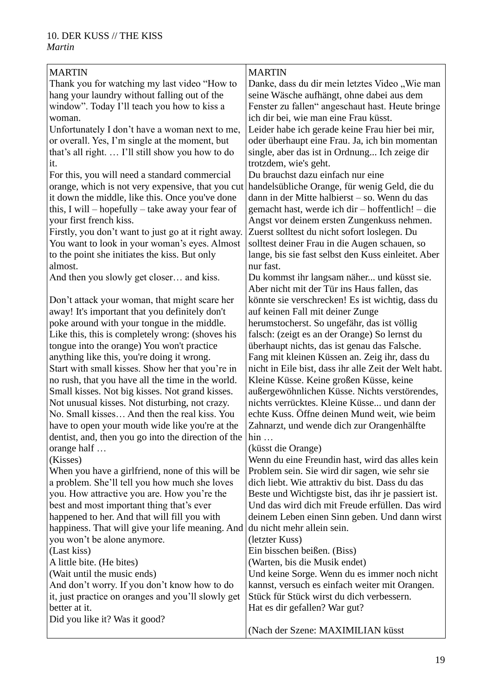| <b>MARTIN</b>                                                   | <b>MARTIN</b>                                         |
|-----------------------------------------------------------------|-------------------------------------------------------|
| Thank you for watching my last video "How to                    | Danke, dass du dir mein letztes Video "Wie man        |
| hang your laundry without falling out of the                    | seine Wäsche aufhängt, ohne dabei aus dem             |
| window". Today I'll teach you how to kiss a                     | Fenster zu fallen" angeschaut hast. Heute bringe      |
| woman.                                                          | ich dir bei, wie man eine Frau küsst.                 |
| Unfortunately I don't have a woman next to me,                  | Leider habe ich gerade keine Frau hier bei mir,       |
|                                                                 |                                                       |
| or overall. Yes, I'm single at the moment, but                  | oder überhaupt eine Frau. Ja, ich bin momentan        |
| that's all right.  I'll still show you how to do                | single, aber das ist in Ordnung Ich zeige dir         |
| it.                                                             | trotzdem, wie's geht.                                 |
| For this, you will need a standard commercial                   | Du brauchst dazu einfach nur eine                     |
| orange, which is not very expensive, that you cut               | handelsübliche Orange, für wenig Geld, die du         |
| it down the middle, like this. Once you've done                 | dann in der Mitte halbierst - so. Wenn du das         |
| this, I will – hopefully – take away your fear of               | gemacht hast, werde ich dir - hoffentlich! - die      |
| your first french kiss.                                         | Angst vor deinem ersten Zungenkuss nehmen.            |
| Firstly, you don't want to just go at it right away.            | Zuerst solltest du nicht sofort loslegen. Du          |
| You want to look in your woman's eyes. Almost                   | solltest deiner Frau in die Augen schauen, so         |
| to the point she initiates the kiss. But only                   | lange, bis sie fast selbst den Kuss einleitet. Aber   |
| almost.                                                         | nur fast.                                             |
| And then you slowly get closer and kiss.                        | Du kommst ihr langsam näher und küsst sie.            |
|                                                                 | Aber nicht mit der Tür ins Haus fallen, das           |
| Don't attack your woman, that might scare her                   | könnte sie verschrecken! Es ist wichtig, dass du      |
| away! It's important that you definitely don't                  | auf keinen Fall mit deiner Zunge                      |
| poke around with your tongue in the middle.                     | herumstocherst. So ungefähr, das ist völlig           |
|                                                                 |                                                       |
| Like this, this is completely wrong: (shoves his                | falsch: (zeigt es an der Orange) So lernst du         |
| tongue into the orange) You won't practice                      | überhaupt nichts, das ist genau das Falsche.          |
| anything like this, you're doing it wrong.                      | Fang mit kleinen Küssen an. Zeig ihr, dass du         |
| Start with small kisses. Show her that you're in                | nicht in Eile bist, dass ihr alle Zeit der Welt habt. |
| no rush, that you have all the time in the world.               | Kleine Küsse. Keine großen Küsse, keine               |
| Small kisses. Not big kisses. Not grand kisses.                 | außergewöhnlichen Küsse. Nichts verstörendes,         |
| Not unusual kisses. Not disturbing, not crazy.                  | nichts verrücktes. Kleine Küsse und dann der          |
| No. Small kisses And then the real kiss. You                    | echte Kuss. Öffne deinen Mund weit, wie beim          |
| have to open your mouth wide like you're at the                 | Zahnarzt, und wende dich zur Orangenhälfte            |
| dentist, and, then you go into the direction of the $\vert$ hin |                                                       |
| orange half                                                     | (küsst die Orange)                                    |
| (Kisses)                                                        | Wenn du eine Freundin hast, wird das alles kein       |
| When you have a girlfriend, none of this will be                | Problem sein. Sie wird dir sagen, wie sehr sie        |
| a problem. She'll tell you how much she loves                   | dich liebt. Wie attraktiv du bist. Dass du das        |
| you. How attractive you are. How you're the                     | Beste und Wichtigste bist, das ihr je passiert ist.   |
| best and most important thing that's ever                       | Und das wird dich mit Freude erfüllen. Das wird       |
| happened to her. And that will fill you with                    | deinem Leben einen Sinn geben. Und dann wirst         |
| happiness. That will give your life meaning. And                | du nicht mehr allein sein.                            |
| you won't be alone anymore.                                     | (letzter Kuss)                                        |
| (Last kiss)                                                     | Ein bisschen beißen. (Biss)                           |
| A little bite. (He bites)                                       | (Warten, bis die Musik endet)                         |
|                                                                 |                                                       |
| (Wait until the music ends)                                     | Und keine Sorge. Wenn du es immer noch nicht          |
| And don't worry. If you don't know how to do                    | kannst, versuch es einfach weiter mit Orangen.        |
| it, just practice on oranges and you'll slowly get              | Stück für Stück wirst du dich verbessern.             |
| better at it.                                                   | Hat es dir gefallen? War gut?                         |
| Did you like it? Was it good?                                   |                                                       |
|                                                                 | (Nach der Szene: MAXIMILIAN küsst                     |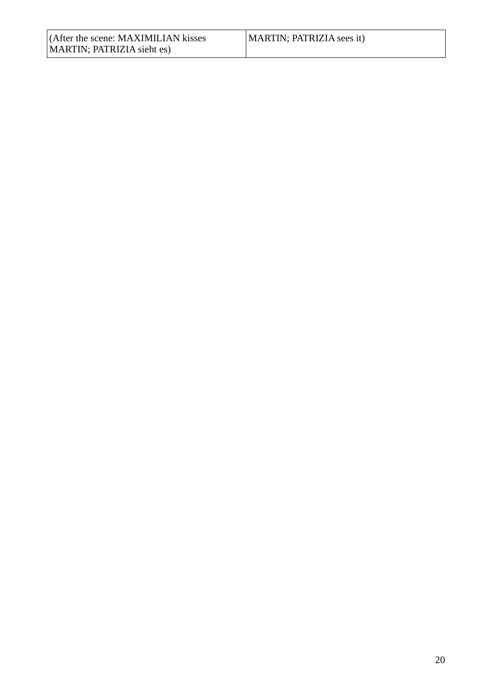| (After the scene: MAXIMILIAN kisses) | MARTIN; PATRIZIA sees it) |
|--------------------------------------|---------------------------|
| MARTIN; PATRIZIA sieht es)           |                           |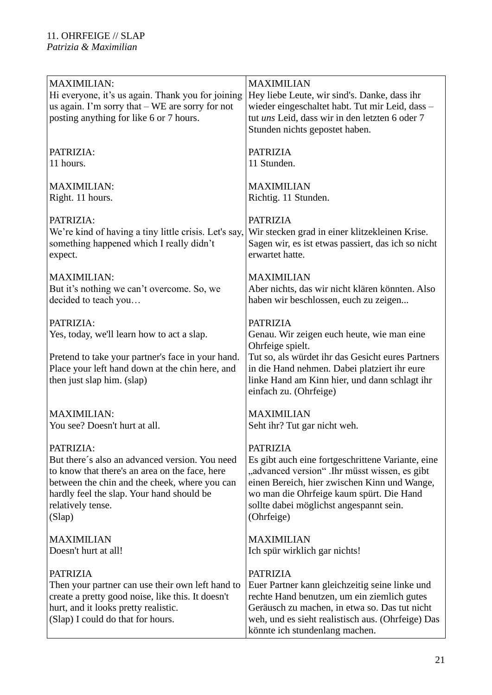| <b>MAXIMILIAN:</b><br>Hi everyone, it's us again. Thank you for joining<br>us again. I'm sorry that $-$ WE are sorry for not<br>posting anything for like 6 or 7 hours.                               | <b>MAXIMILIAN</b><br>Hey liebe Leute, wir sind's. Danke, dass ihr<br>wieder eingeschaltet habt. Tut mir Leid, dass -<br>tut uns Leid, dass wir in den letzten 6 oder 7<br>Stunden nichts gepostet haben.                                                          |
|-------------------------------------------------------------------------------------------------------------------------------------------------------------------------------------------------------|-------------------------------------------------------------------------------------------------------------------------------------------------------------------------------------------------------------------------------------------------------------------|
| PATRIZIA:                                                                                                                                                                                             | <b>PATRIZIA</b>                                                                                                                                                                                                                                                   |
| 11 hours.                                                                                                                                                                                             | 11 Stunden.                                                                                                                                                                                                                                                       |
| <b>MAXIMILIAN:</b>                                                                                                                                                                                    | <b>MAXIMILIAN</b>                                                                                                                                                                                                                                                 |
| Right. 11 hours.                                                                                                                                                                                      | Richtig. 11 Stunden.                                                                                                                                                                                                                                              |
| PATRIZIA:                                                                                                                                                                                             | <b>PATRIZIA</b>                                                                                                                                                                                                                                                   |
| We're kind of having a tiny little crisis. Let's say,                                                                                                                                                 | Wir stecken grad in einer klitzekleinen Krise.                                                                                                                                                                                                                    |
| something happened which I really didn't                                                                                                                                                              | Sagen wir, es ist etwas passiert, das ich so nicht                                                                                                                                                                                                                |
| expect.                                                                                                                                                                                               | erwartet hatte.                                                                                                                                                                                                                                                   |
| <b>MAXIMILIAN:</b>                                                                                                                                                                                    | <b>MAXIMILIAN</b>                                                                                                                                                                                                                                                 |
| But it's nothing we can't overcome. So, we                                                                                                                                                            | Aber nichts, das wir nicht klären könnten. Also                                                                                                                                                                                                                   |
| decided to teach you                                                                                                                                                                                  | haben wir beschlossen, euch zu zeigen                                                                                                                                                                                                                             |
| PATRIZIA:<br>Yes, today, we'll learn how to act a slap.<br>Pretend to take your partner's face in your hand.<br>Place your left hand down at the chin here, and<br>then just slap him. (slap)         | <b>PATRIZIA</b><br>Genau. Wir zeigen euch heute, wie man eine<br>Ohrfeige spielt.<br>Tut so, als würdet ihr das Gesicht eures Partners<br>in die Hand nehmen. Dabei platziert ihr eure<br>linke Hand am Kinn hier, und dann schlagt ihr<br>einfach zu. (Ohrfeige) |
| <b>MAXIMILIAN:</b>                                                                                                                                                                                    | <b>MAXIMILIAN</b>                                                                                                                                                                                                                                                 |
| You see? Doesn't hurt at all.                                                                                                                                                                         | Seht ihr? Tut gar nicht weh.                                                                                                                                                                                                                                      |
| PATRIZIA:                                                                                                                                                                                             | <b>PATRIZIA</b>                                                                                                                                                                                                                                                   |
| But there's also an advanced version. You need                                                                                                                                                        | Es gibt auch eine fortgeschrittene Variante, eine                                                                                                                                                                                                                 |
| to know that there's an area on the face, here                                                                                                                                                        | "advanced version" .Ihr müsst wissen, es gibt                                                                                                                                                                                                                     |
| between the chin and the cheek, where you can                                                                                                                                                         | einen Bereich, hier zwischen Kinn und Wange,                                                                                                                                                                                                                      |
| hardly feel the slap. Your hand should be                                                                                                                                                             | wo man die Ohrfeige kaum spürt. Die Hand                                                                                                                                                                                                                          |
| relatively tense.                                                                                                                                                                                     | sollte dabei möglichst angespannt sein.                                                                                                                                                                                                                           |
| (Slap)                                                                                                                                                                                                | (Ohrfeige)                                                                                                                                                                                                                                                        |
| <b>MAXIMILIAN</b>                                                                                                                                                                                     | <b>MAXIMILIAN</b>                                                                                                                                                                                                                                                 |
| Doesn't hurt at all!                                                                                                                                                                                  | Ich spür wirklich gar nichts!                                                                                                                                                                                                                                     |
| <b>PATRIZIA</b><br>Then your partner can use their own left hand to<br>create a pretty good noise, like this. It doesn't<br>hurt, and it looks pretty realistic.<br>(Slap) I could do that for hours. | <b>PATRIZIA</b><br>Euer Partner kann gleichzeitig seine linke und<br>rechte Hand benutzen, um ein ziemlich gutes<br>Geräusch zu machen, in etwa so. Das tut nicht<br>weh, und es sieht realistisch aus. (Ohrfeige) Das<br>könnte ich stundenlang machen.          |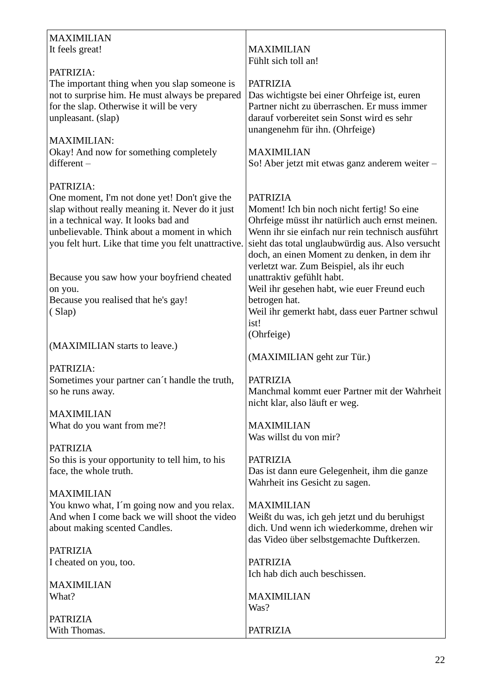| <b>MAXIMILIAN</b>                                                                                                                                                                                                                                            |                                                                                                                                                                                                                                                                         |
|--------------------------------------------------------------------------------------------------------------------------------------------------------------------------------------------------------------------------------------------------------------|-------------------------------------------------------------------------------------------------------------------------------------------------------------------------------------------------------------------------------------------------------------------------|
| It feels great!                                                                                                                                                                                                                                              | <b>MAXIMILIAN</b>                                                                                                                                                                                                                                                       |
|                                                                                                                                                                                                                                                              | Fühlt sich toll an!                                                                                                                                                                                                                                                     |
| PATRIZIA:<br>The important thing when you slap someone is<br>not to surprise him. He must always be prepared<br>for the slap. Otherwise it will be very<br>unpleasant. (slap)                                                                                | <b>PATRIZIA</b><br>Das wichtigste bei einer Ohrfeige ist, euren<br>Partner nicht zu überraschen. Er muss immer<br>darauf vorbereitet sein Sonst wird es sehr<br>unangenehm für ihn. (Ohrfeige)                                                                          |
| <b>MAXIMILIAN:</b><br>Okay! And now for something completely<br>different-                                                                                                                                                                                   | <b>MAXIMILIAN</b><br>So! Aber jetzt mit etwas ganz anderem weiter -                                                                                                                                                                                                     |
| PATRIZIA:<br>One moment, I'm not done yet! Don't give the<br>slap without really meaning it. Never do it just<br>in a technical way. It looks bad and<br>unbelievable. Think about a moment in which<br>you felt hurt. Like that time you felt unattractive. | <b>PATRIZIA</b><br>Moment! Ich bin noch nicht fertig! So eine<br>Ohrfeige müsst ihr natürlich auch ernst meinen.<br>Wenn ihr sie einfach nur rein technisch ausführt<br>sieht das total unglaubwürdig aus. Also versucht<br>doch, an einen Moment zu denken, in dem ihr |
| Because you saw how your boyfriend cheated<br>on you.<br>Because you realised that he's gay!<br>(Slap)                                                                                                                                                       | verletzt war. Zum Beispiel, als ihr euch<br>unattraktiv gefühlt habt.<br>Weil ihr gesehen habt, wie euer Freund euch<br>betrogen hat.<br>Weil ihr gemerkt habt, dass euer Partner schwul<br>ist!<br>(Ohrfeige)                                                          |
| (MAXIMILIAN starts to leave.)                                                                                                                                                                                                                                | (MAXIMILIAN geht zur Tür.)                                                                                                                                                                                                                                              |
| PATRIZIA:                                                                                                                                                                                                                                                    |                                                                                                                                                                                                                                                                         |
| Sometimes your partner can't handle the truth,<br>so he runs away.                                                                                                                                                                                           | <b>PATRIZIA</b><br>Manchmal kommt euer Partner mit der Wahrheit<br>nicht klar, also läuft er weg.                                                                                                                                                                       |
| <b>MAXIMILIAN</b>                                                                                                                                                                                                                                            |                                                                                                                                                                                                                                                                         |
| What do you want from me?!                                                                                                                                                                                                                                   | <b>MAXIMILIAN</b><br>Was willst du von mir?                                                                                                                                                                                                                             |
| <b>PATRIZIA</b>                                                                                                                                                                                                                                              |                                                                                                                                                                                                                                                                         |
| So this is your opportunity to tell him, to his<br>face, the whole truth.                                                                                                                                                                                    | <b>PATRIZIA</b><br>Das ist dann eure Gelegenheit, ihm die ganze<br>Wahrheit ins Gesicht zu sagen.                                                                                                                                                                       |
| <b>MAXIMILIAN</b><br>You knwo what, I'm going now and you relax.<br>And when I come back we will shoot the video<br>about making scented Candles.                                                                                                            | <b>MAXIMILIAN</b><br>Weißt du was, ich geh jetzt und du beruhigst<br>dich. Und wenn ich wiederkomme, drehen wir<br>das Video über selbstgemachte Duftkerzen.                                                                                                            |
| <b>PATRIZIA</b>                                                                                                                                                                                                                                              |                                                                                                                                                                                                                                                                         |
| I cheated on you, too.                                                                                                                                                                                                                                       | <b>PATRIZIA</b><br>Ich hab dich auch beschissen.                                                                                                                                                                                                                        |
| <b>MAXIMILIAN</b>                                                                                                                                                                                                                                            |                                                                                                                                                                                                                                                                         |
| What?                                                                                                                                                                                                                                                        | <b>MAXIMILIAN</b><br>Was?                                                                                                                                                                                                                                               |
| <b>PATRIZIA</b>                                                                                                                                                                                                                                              |                                                                                                                                                                                                                                                                         |
| With Thomas.                                                                                                                                                                                                                                                 | <b>PATRIZIA</b>                                                                                                                                                                                                                                                         |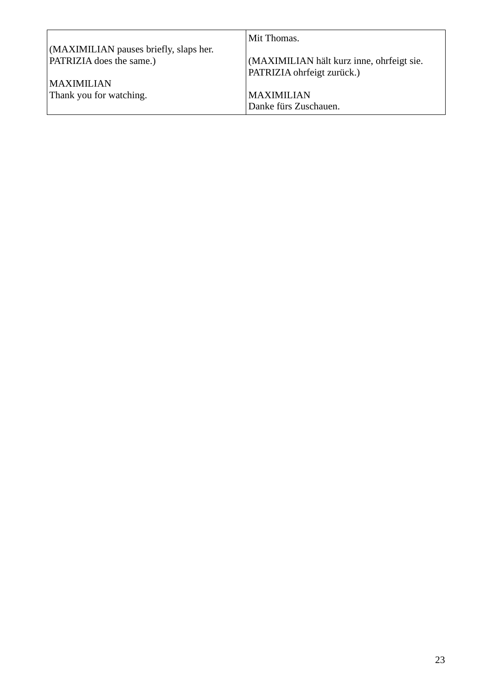|                                        | Mit Thomas.                               |
|----------------------------------------|-------------------------------------------|
| (MAXIMILIAN pauses briefly, slaps her. |                                           |
| <b>PATRIZIA</b> does the same.)        | (MAXIMILIAN hält kurz inne, ohrfeigt sie. |
|                                        | PATRIZIA ohrfeigt zurück.)                |
| <b>MAXIMILIAN</b>                      |                                           |
| Thank you for watching.                | <b>MAXIMILIAN</b>                         |
|                                        | Danke fürs Zuschauen.                     |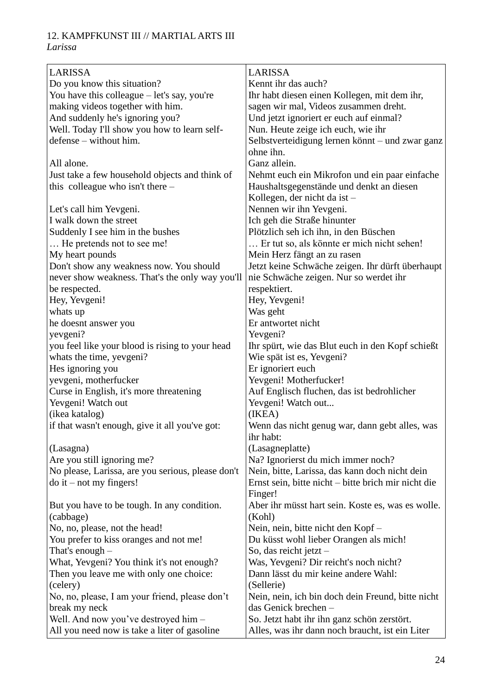#### 12. KAMPFKUNST III // MARTIAL ARTS III *Larissa*

| <b>LARISSA</b>                                    | <b>LARISSA</b>                                      |
|---------------------------------------------------|-----------------------------------------------------|
| Do you know this situation?                       | Kennt ihr das auch?                                 |
| You have this colleague $-$ let's say, you're     | Ihr habt diesen einen Kollegen, mit dem ihr,        |
| making videos together with him.                  | sagen wir mal, Videos zusammen dreht.               |
| And suddenly he's ignoring you?                   | Und jetzt ignoriert er euch auf einmal?             |
| Well. Today I'll show you how to learn self-      | Nun. Heute zeige ich euch, wie ihr                  |
| defense – without him.                            | Selbstverteidigung lernen könnt – und zwar ganz     |
|                                                   | ohne ihn.                                           |
| All alone.                                        | Ganz allein.                                        |
| Just take a few household objects and think of    | Nehmt euch ein Mikrofon und ein paar einfache       |
| this colleague who isn't there $-$                | Haushaltsgegenstände und denkt an diesen            |
|                                                   | Kollegen, der nicht da ist -                        |
| Let's call him Yevgeni.                           | Nennen wir ihn Yevgeni.                             |
| I walk down the street                            | Ich geh die Straße hinunter                         |
| Suddenly I see him in the bushes                  | Plötzlich seh ich ihn, in den Büschen               |
| He pretends not to see me!                        | Er tut so, als könnte er mich nicht sehen!          |
| My heart pounds                                   | Mein Herz fängt an zu rasen                         |
| Don't show any weakness now. You should           | Jetzt keine Schwäche zeigen. Ihr dürft überhaupt    |
| never show weakness. That's the only way you'll   | nie Schwäche zeigen. Nur so werdet ihr              |
| be respected.                                     | respektiert.                                        |
| Hey, Yevgeni!                                     | Hey, Yevgeni!                                       |
| whats up                                          | Was geht                                            |
| he doesnt answer you                              | Er antwortet nicht                                  |
| yevgeni?                                          | Yevgeni?                                            |
| you feel like your blood is rising to your head   | Ihr spürt, wie das Blut euch in den Kopf schießt    |
| whats the time, yevgeni?                          | Wie spät ist es, Yevgeni?                           |
| Hes ignoring you                                  | Er ignoriert euch                                   |
| yevgeni, motherfucker                             | Yevgeni! Motherfucker!                              |
| Curse in English, it's more threatening           | Auf Englisch fluchen, das ist bedrohlicher          |
| Yevgeni! Watch out                                | Yevgeni! Watch out                                  |
| (ikea katalog)                                    | (IKEA)                                              |
| if that wasn't enough, give it all you've got:    | Wenn das nicht genug war, dann gebt alles, was      |
|                                                   | ihr habt:                                           |
| (Lasagna)                                         | (Lasagneplatte)                                     |
| Are you still ignoring me?                        | Na? Ignorierst du mich immer noch?                  |
| No please, Larissa, are you serious, please don't | Nein, bitte, Larissa, das kann doch nicht dein      |
| $\phi$ it – not my fingers!                       | Ernst sein, bitte nicht – bitte brich mir nicht die |
|                                                   | Finger!                                             |
| But you have to be tough. In any condition.       | Aber ihr müsst hart sein. Koste es, was es wolle.   |
| (cabbage)                                         | (Kohl)                                              |
| No, no, please, not the head!                     | Nein, nein, bitte nicht den Kopf-                   |
| You prefer to kiss oranges and not me!            | Du küsst wohl lieber Orangen als mich!              |
| That's enough $-$                                 | So, das reicht jetzt $-$                            |
| What, Yevgeni? You think it's not enough?         | Was, Yevgeni? Dir reicht's noch nicht?              |
| Then you leave me with only one choice:           | Dann lässt du mir keine andere Wahl:                |
| (celery)                                          | (Sellerie)                                          |
| No, no, please, I am your friend, please don't    | Nein, nein, ich bin doch dein Freund, bitte nicht   |
| break my neck                                     | das Genick brechen-                                 |
| Well. And now you've destroyed him -              | So. Jetzt habt ihr ihn ganz schön zerstört.         |
| All you need now is take a liter of gasoline      | Alles, was ihr dann noch braucht, ist ein Liter     |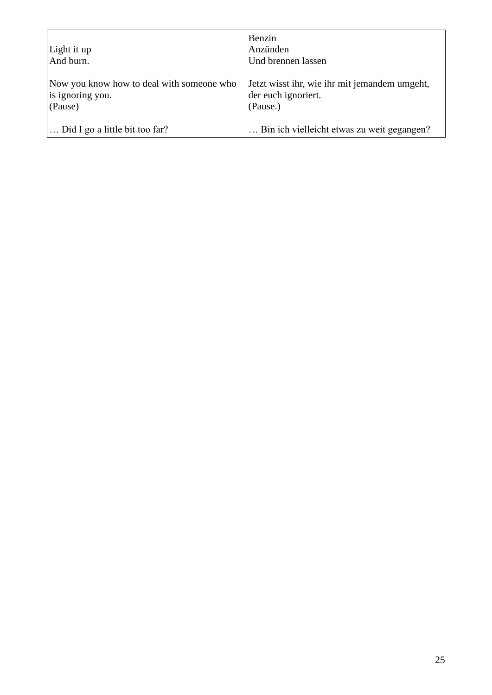| Light it up<br>And burn.                                                 | Benzin<br>Anzünden<br>Und brennen lassen                                         |
|--------------------------------------------------------------------------|----------------------------------------------------------------------------------|
| Now you know how to deal with someone who<br>is ignoring you.<br>(Pause) | Jetzt wisst ihr, wie ihr mit jemandem umgeht,<br>der euch ignoriert.<br>(Pause.) |
| Did I go a little bit too far?                                           | Bin ich vielleicht etwas zu weit gegangen?                                       |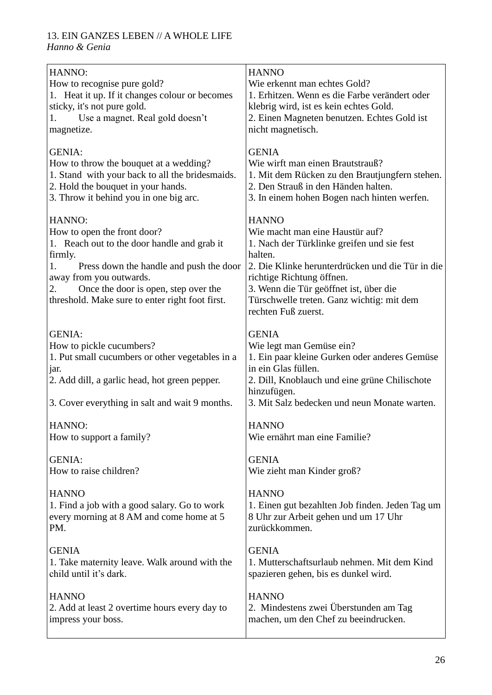### 13. EIN GANZES LEBEN // A WHOLE LIFE

*Hanno & Genia*

| HANNO:<br>How to recognise pure gold?<br>1. Heat it up. If it changes colour or becomes<br>sticky, it's not pure gold.<br>Use a magnet. Real gold doesn't<br>1.<br>magnetize.                                                                                                | <b>HANNO</b><br>Wie erkennt man echtes Gold?<br>1. Erhitzen. Wenn es die Farbe verändert oder<br>klebrig wird, ist es kein echtes Gold.<br>2. Einen Magneten benutzen. Echtes Gold ist<br>nicht magnetisch.                                                                                             |
|------------------------------------------------------------------------------------------------------------------------------------------------------------------------------------------------------------------------------------------------------------------------------|---------------------------------------------------------------------------------------------------------------------------------------------------------------------------------------------------------------------------------------------------------------------------------------------------------|
| <b>GENIA:</b>                                                                                                                                                                                                                                                                | <b>GENIA</b>                                                                                                                                                                                                                                                                                            |
| How to throw the bouquet at a wedding?                                                                                                                                                                                                                                       | Wie wirft man einen Brautstrauß?                                                                                                                                                                                                                                                                        |
| 1. Stand with your back to all the bridesmaids.                                                                                                                                                                                                                              | 1. Mit dem Rücken zu den Brautjungfern stehen.                                                                                                                                                                                                                                                          |
| 2. Hold the bouquet in your hands.                                                                                                                                                                                                                                           | 2. Den Strauß in den Händen halten.                                                                                                                                                                                                                                                                     |
| 3. Throw it behind you in one big arc.                                                                                                                                                                                                                                       | 3. In einem hohen Bogen nach hinten werfen.                                                                                                                                                                                                                                                             |
| HANNO:<br>How to open the front door?<br>1. Reach out to the door handle and grab it<br>firmly.<br>Press down the handle and push the door<br>1.<br>away from you outwards.<br>Once the door is open, step over the<br>2.<br>threshold. Make sure to enter right foot first. | <b>HANNO</b><br>Wie macht man eine Haustür auf?<br>1. Nach der Türklinke greifen und sie fest<br>halten.<br>2. Die Klinke herunterdrücken und die Tür in die<br>richtige Richtung öffnen.<br>3. Wenn die Tür geöffnet ist, über die<br>Türschwelle treten. Ganz wichtig: mit dem<br>rechten Fuß zuerst. |
| <b>GENIA:</b><br>How to pickle cucumbers?<br>1. Put small cucumbers or other vegetables in a<br>jar.<br>2. Add dill, a garlic head, hot green pepper.<br>3. Cover everything in salt and wait 9 months.                                                                      | <b>GENIA</b><br>Wie legt man Gemüse ein?<br>1. Ein paar kleine Gurken oder anderes Gemüse<br>in ein Glas füllen.<br>2. Dill, Knoblauch und eine grüne Chilischote<br>hinzufügen.<br>3. Mit Salz bedecken und neun Monate warten.                                                                        |
| HANNO:                                                                                                                                                                                                                                                                       | <b>HANNO</b>                                                                                                                                                                                                                                                                                            |
| How to support a family?                                                                                                                                                                                                                                                     | Wie ernährt man eine Familie?                                                                                                                                                                                                                                                                           |
| <b>GENIA:</b>                                                                                                                                                                                                                                                                | <b>GENIA</b>                                                                                                                                                                                                                                                                                            |
| How to raise children?                                                                                                                                                                                                                                                       | Wie zieht man Kinder groß?                                                                                                                                                                                                                                                                              |
| <b>HANNO</b>                                                                                                                                                                                                                                                                 | <b>HANNO</b>                                                                                                                                                                                                                                                                                            |
| 1. Find a job with a good salary. Go to work                                                                                                                                                                                                                                 | 1. Einen gut bezahlten Job finden. Jeden Tag um                                                                                                                                                                                                                                                         |
| every morning at 8 AM and come home at 5                                                                                                                                                                                                                                     | 8 Uhr zur Arbeit gehen und um 17 Uhr                                                                                                                                                                                                                                                                    |
| PM.                                                                                                                                                                                                                                                                          | zurückkommen.                                                                                                                                                                                                                                                                                           |
| <b>GENIA</b>                                                                                                                                                                                                                                                                 | <b>GENIA</b>                                                                                                                                                                                                                                                                                            |
| 1. Take maternity leave. Walk around with the                                                                                                                                                                                                                                | 1. Mutterschaftsurlaub nehmen. Mit dem Kind                                                                                                                                                                                                                                                             |
| child until it's dark.                                                                                                                                                                                                                                                       | spazieren gehen, bis es dunkel wird.                                                                                                                                                                                                                                                                    |
| <b>HANNO</b>                                                                                                                                                                                                                                                                 | <b>HANNO</b>                                                                                                                                                                                                                                                                                            |
| 2. Add at least 2 overtime hours every day to                                                                                                                                                                                                                                | 2. Mindestens zwei Überstunden am Tag                                                                                                                                                                                                                                                                   |
| impress your boss.                                                                                                                                                                                                                                                           | machen, um den Chef zu beeindrucken.                                                                                                                                                                                                                                                                    |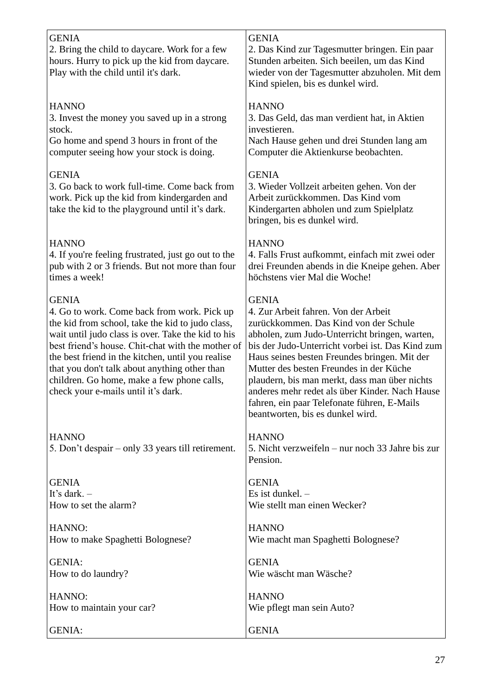| <b>GENIA</b><br>2. Bring the child to daycare. Work for a few<br>hours. Hurry to pick up the kid from daycare.<br>Play with the child until it's dark.                                                                                                                                                                                                                                                                | <b>GENIA</b><br>2. Das Kind zur Tagesmutter bringen. Ein paar<br>Stunden arbeiten. Sich beeilen, um das Kind<br>wieder von der Tagesmutter abzuholen. Mit dem<br>Kind spielen, bis es dunkel wird.                                                                                                                                                                                                                                                                                  |
|-----------------------------------------------------------------------------------------------------------------------------------------------------------------------------------------------------------------------------------------------------------------------------------------------------------------------------------------------------------------------------------------------------------------------|-------------------------------------------------------------------------------------------------------------------------------------------------------------------------------------------------------------------------------------------------------------------------------------------------------------------------------------------------------------------------------------------------------------------------------------------------------------------------------------|
| <b>HANNO</b>                                                                                                                                                                                                                                                                                                                                                                                                          | <b>HANNO</b>                                                                                                                                                                                                                                                                                                                                                                                                                                                                        |
| 3. Invest the money you saved up in a strong                                                                                                                                                                                                                                                                                                                                                                          | 3. Das Geld, das man verdient hat, in Aktien                                                                                                                                                                                                                                                                                                                                                                                                                                        |
| stock.                                                                                                                                                                                                                                                                                                                                                                                                                | investieren.                                                                                                                                                                                                                                                                                                                                                                                                                                                                        |
| Go home and spend 3 hours in front of the                                                                                                                                                                                                                                                                                                                                                                             | Nach Hause gehen und drei Stunden lang am                                                                                                                                                                                                                                                                                                                                                                                                                                           |
| computer seeing how your stock is doing.                                                                                                                                                                                                                                                                                                                                                                              | Computer die Aktienkurse beobachten.                                                                                                                                                                                                                                                                                                                                                                                                                                                |
| <b>GENIA</b><br>3. Go back to work full-time. Come back from<br>work. Pick up the kid from kindergarden and<br>take the kid to the playground until it's dark.                                                                                                                                                                                                                                                        | <b>GENIA</b><br>3. Wieder Vollzeit arbeiten gehen. Von der<br>Arbeit zurückkommen. Das Kind vom<br>Kindergarten abholen und zum Spielplatz<br>bringen, bis es dunkel wird.                                                                                                                                                                                                                                                                                                          |
| <b>HANNO</b>                                                                                                                                                                                                                                                                                                                                                                                                          | <b>HANNO</b>                                                                                                                                                                                                                                                                                                                                                                                                                                                                        |
| 4. If you're feeling frustrated, just go out to the                                                                                                                                                                                                                                                                                                                                                                   | 4. Falls Frust aufkommt, einfach mit zwei oder                                                                                                                                                                                                                                                                                                                                                                                                                                      |
| pub with 2 or 3 friends. But not more than four                                                                                                                                                                                                                                                                                                                                                                       | drei Freunden abends in die Kneipe gehen. Aber                                                                                                                                                                                                                                                                                                                                                                                                                                      |
| times a week!                                                                                                                                                                                                                                                                                                                                                                                                         | höchstens vier Mal die Woche!                                                                                                                                                                                                                                                                                                                                                                                                                                                       |
| <b>GENIA</b><br>4. Go to work. Come back from work. Pick up<br>the kid from school, take the kid to judo class,<br>wait until judo class is over. Take the kid to his<br>best friend's house. Chit-chat with the mother of<br>the best friend in the kitchen, until you realise<br>that you don't talk about anything other than<br>children. Go home, make a few phone calls,<br>check your e-mails until it's dark. | <b>GENIA</b><br>4. Zur Arbeit fahren. Von der Arbeit<br>zurückkommen. Das Kind von der Schule<br>abholen, zum Judo-Unterricht bringen, warten,<br>bis der Judo-Unterricht vorbei ist. Das Kind zum<br>Haus seines besten Freundes bringen. Mit der<br>Mutter des besten Freundes in der Küche<br>plaudern, bis man merkt, dass man über nichts<br>anderes mehr redet als über Kinder. Nach Hause<br>fahren, ein paar Telefonate führen, E-Mails<br>beantworten, bis es dunkel wird. |
| <b>HANNO</b><br>5. Don't despair – only 33 years till retirement.                                                                                                                                                                                                                                                                                                                                                     | <b>HANNO</b><br>5. Nicht verzweifeln – nur noch 33 Jahre bis zur<br>Pension.                                                                                                                                                                                                                                                                                                                                                                                                        |
| <b>GENIA</b>                                                                                                                                                                                                                                                                                                                                                                                                          | <b>GENIA</b>                                                                                                                                                                                                                                                                                                                                                                                                                                                                        |
| It's dark. $-$                                                                                                                                                                                                                                                                                                                                                                                                        | Es ist dunkel. $-$                                                                                                                                                                                                                                                                                                                                                                                                                                                                  |
| How to set the alarm?                                                                                                                                                                                                                                                                                                                                                                                                 | Wie stellt man einen Wecker?                                                                                                                                                                                                                                                                                                                                                                                                                                                        |
| HANNO:                                                                                                                                                                                                                                                                                                                                                                                                                | <b>HANNO</b>                                                                                                                                                                                                                                                                                                                                                                                                                                                                        |
| How to make Spaghetti Bolognese?                                                                                                                                                                                                                                                                                                                                                                                      | Wie macht man Spaghetti Bolognese?                                                                                                                                                                                                                                                                                                                                                                                                                                                  |
| <b>GENIA:</b>                                                                                                                                                                                                                                                                                                                                                                                                         | <b>GENIA</b>                                                                                                                                                                                                                                                                                                                                                                                                                                                                        |
| How to do laundry?                                                                                                                                                                                                                                                                                                                                                                                                    | Wie wäscht man Wäsche?                                                                                                                                                                                                                                                                                                                                                                                                                                                              |
| HANNO:                                                                                                                                                                                                                                                                                                                                                                                                                | <b>HANNO</b>                                                                                                                                                                                                                                                                                                                                                                                                                                                                        |
| How to maintain your car?                                                                                                                                                                                                                                                                                                                                                                                             | Wie pflegt man sein Auto?                                                                                                                                                                                                                                                                                                                                                                                                                                                           |
| <b>GENIA:</b>                                                                                                                                                                                                                                                                                                                                                                                                         | <b>GENIA</b>                                                                                                                                                                                                                                                                                                                                                                                                                                                                        |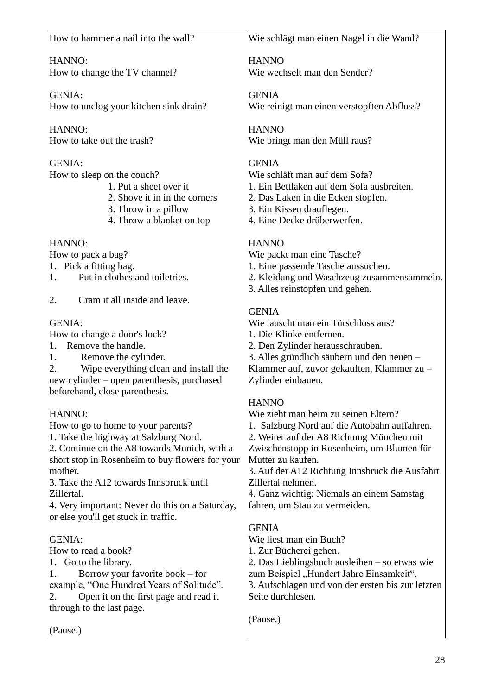| How to hammer a nail into the wall?             | Wie schlägt man einen Nagel in die Wand?          |
|-------------------------------------------------|---------------------------------------------------|
| HANNO:                                          | <b>HANNO</b>                                      |
|                                                 | Wie wechselt man den Sender?                      |
| How to change the TV channel?                   |                                                   |
| <b>GENIA:</b>                                   | <b>GENIA</b>                                      |
| How to unclog your kitchen sink drain?          | Wie reinigt man einen verstopften Abfluss?        |
|                                                 |                                                   |
| HANNO:                                          | <b>HANNO</b>                                      |
| How to take out the trash?                      | Wie bringt man den Müll raus?                     |
|                                                 |                                                   |
| <b>GENIA:</b>                                   | <b>GENIA</b>                                      |
| How to sleep on the couch?                      | Wie schläft man auf dem Sofa?                     |
| 1. Put a sheet over it                          | 1. Ein Bettlaken auf dem Sofa ausbreiten.         |
| 2. Shove it in in the corners                   | 2. Das Laken in die Ecken stopfen.                |
| 3. Throw in a pillow                            | 3. Ein Kissen drauflegen.                         |
| 4. Throw a blanket on top                       | 4. Eine Decke drüberwerfen.                       |
|                                                 |                                                   |
| HANNO:                                          | <b>HANNO</b>                                      |
| How to pack a bag?                              | Wie packt man eine Tasche?                        |
| 1. Pick a fitting bag.                          | 1. Eine passende Tasche aussuchen.                |
| Put in clothes and toiletries.<br>1.            | 2. Kleidung und Waschzeug zusammensammeln.        |
|                                                 | 3. Alles reinstopfen und gehen.                   |
| 2.<br>Cram it all inside and leave.             |                                                   |
|                                                 | <b>GENIA</b>                                      |
| <b>GENIA:</b>                                   | Wie tauscht man ein Türschloss aus?               |
| How to change a door's lock?                    | 1. Die Klinke entfernen.                          |
| Remove the handle.<br>1.                        | 2. Den Zylinder herausschrauben.                  |
| 1.<br>Remove the cylinder.                      | 3. Alles gründlich säubern und den neuen -        |
| Wipe everything clean and install the<br>2.     | Klammer auf, zuvor gekauften, Klammer zu-         |
| new cylinder – open parenthesis, purchased      | Zylinder einbauen.                                |
| beforehand, close parenthesis.                  |                                                   |
|                                                 | <b>HANNO</b>                                      |
| HANNO:                                          | Wie zieht man heim zu seinen Eltern?              |
| How to go to home to your parents?              | 1. Salzburg Nord auf die Autobahn auffahren.      |
| 1. Take the highway at Salzburg Nord.           | 2. Weiter auf der A8 Richtung München mit         |
| 2. Continue on the A8 towards Munich, with a    | Zwischenstopp in Rosenheim, um Blumen für         |
| short stop in Rosenheim to buy flowers for your | Mutter zu kaufen.                                 |
| mother.                                         | 3. Auf der A12 Richtung Innsbruck die Ausfahrt    |
| 3. Take the A12 towards Innsbruck until         | Zillertal nehmen.                                 |
| Zillertal.                                      | 4. Ganz wichtig: Niemals an einem Samstag         |
| 4. Very important: Never do this on a Saturday, | fahren, um Stau zu vermeiden.                     |
| or else you'll get stuck in traffic.            |                                                   |
|                                                 | <b>GENIA</b>                                      |
| <b>GENIA:</b>                                   | Wie liest man ein Buch?                           |
| How to read a book?                             | 1. Zur Bücherei gehen.                            |
| Go to the library.<br>1.                        | 2. Das Lieblingsbuch ausleihen – so etwas wie     |
| Borrow your favorite book – for<br>1.           | zum Beispiel "Hundert Jahre Einsamkeit".          |
| example, "One Hundred Years of Solitude".       | 3. Aufschlagen und von der ersten bis zur letzten |
| Open it on the first page and read it<br>2.     | Seite durchlesen.                                 |
| through to the last page.                       |                                                   |
|                                                 | (Pause.)                                          |
| (Pause.)                                        |                                                   |
|                                                 |                                                   |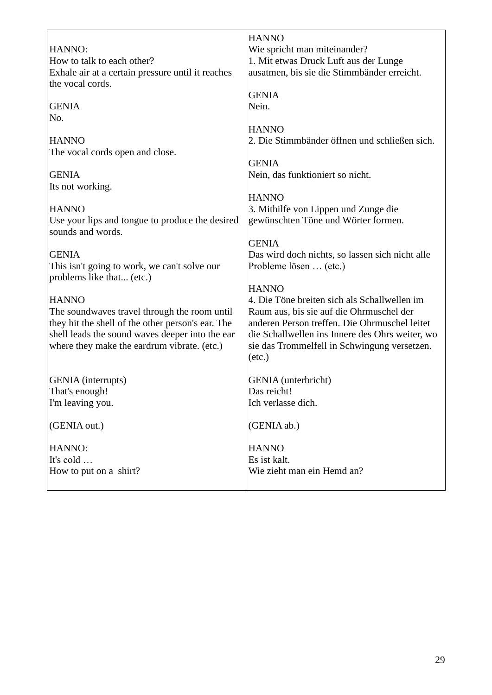| HANNO:                                                                                                                                                                                                              | <b>HANNO</b>                                                                                                                                                                                                                                                                    |
|---------------------------------------------------------------------------------------------------------------------------------------------------------------------------------------------------------------------|---------------------------------------------------------------------------------------------------------------------------------------------------------------------------------------------------------------------------------------------------------------------------------|
| How to talk to each other?                                                                                                                                                                                          | Wie spricht man miteinander?                                                                                                                                                                                                                                                    |
| Exhale air at a certain pressure until it reaches                                                                                                                                                                   | 1. Mit etwas Druck Luft aus der Lunge                                                                                                                                                                                                                                           |
| the vocal cords.                                                                                                                                                                                                    | ausatmen, bis sie die Stimmbänder erreicht.                                                                                                                                                                                                                                     |
| <b>GENIA</b>                                                                                                                                                                                                        | <b>GENIA</b><br>Nein.                                                                                                                                                                                                                                                           |
| No.                                                                                                                                                                                                                 | <b>HANNO</b>                                                                                                                                                                                                                                                                    |
| <b>HANNO</b>                                                                                                                                                                                                        | 2. Die Stimmbänder öffnen und schließen sich.                                                                                                                                                                                                                                   |
| The vocal cords open and close.                                                                                                                                                                                     | <b>GENIA</b>                                                                                                                                                                                                                                                                    |
| <b>GENIA</b>                                                                                                                                                                                                        | Nein, das funktioniert so nicht.                                                                                                                                                                                                                                                |
| Its not working.                                                                                                                                                                                                    | <b>HANNO</b>                                                                                                                                                                                                                                                                    |
| <b>HANNO</b><br>Use your lips and tongue to produce the desired<br>sounds and words.                                                                                                                                | 3. Mithilfe von Lippen und Zunge die<br>gewünschten Töne und Wörter formen.                                                                                                                                                                                                     |
| <b>GENIA</b>                                                                                                                                                                                                        | <b>GENIA</b>                                                                                                                                                                                                                                                                    |
| This isn't going to work, we can't solve our                                                                                                                                                                        | Das wird doch nichts, so lassen sich nicht alle                                                                                                                                                                                                                                 |
| problems like that (etc.)                                                                                                                                                                                           | Probleme lösen  (etc.)                                                                                                                                                                                                                                                          |
| <b>HANNO</b><br>The soundwaves travel through the room until<br>they hit the shell of the other person's ear. The<br>shell leads the sound waves deeper into the ear<br>where they make the eardrum vibrate. (etc.) | <b>HANNO</b><br>4. Die Töne breiten sich als Schallwellen im<br>Raum aus, bis sie auf die Ohrmuschel der<br>anderen Person treffen. Die Ohrmuschel leitet<br>die Schallwellen ins Innere des Ohrs weiter, wo<br>sie das Trommelfell in Schwingung versetzen.<br>$(\text{etc.})$ |
| <b>GENIA</b> (interrupts)                                                                                                                                                                                           | GENIA (unterbricht)                                                                                                                                                                                                                                                             |
| That's enough!                                                                                                                                                                                                      | Das reicht!                                                                                                                                                                                                                                                                     |
| I'm leaving you.                                                                                                                                                                                                    | Ich verlasse dich.                                                                                                                                                                                                                                                              |
| (GENIA out.)                                                                                                                                                                                                        | (GENIA ab.)                                                                                                                                                                                                                                                                     |
| HANNO:                                                                                                                                                                                                              | <b>HANNO</b>                                                                                                                                                                                                                                                                    |
| It's cold                                                                                                                                                                                                           | Es ist kalt.                                                                                                                                                                                                                                                                    |
| How to put on a shirt?                                                                                                                                                                                              | Wie zieht man ein Hemd an?                                                                                                                                                                                                                                                      |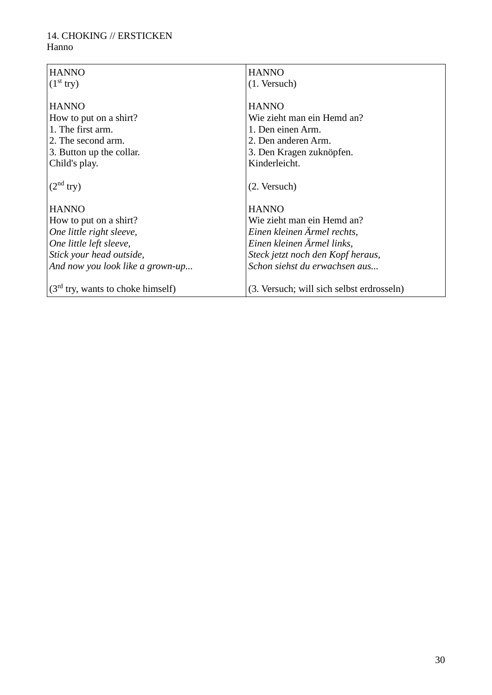#### 14. CHOKING // ERSTICKEN Hanno

| <b>HANNO</b>                        | <b>HANNO</b>                              |
|-------------------------------------|-------------------------------------------|
| (1 <sup>st</sup> try)               | (1. Versuch)                              |
|                                     |                                           |
| <b>HANNO</b>                        | <b>HANNO</b>                              |
| How to put on a shirt?              | Wie zieht man ein Hemd an?                |
| 1. The first arm.                   | 1. Den einen Arm.                         |
| 2. The second arm.                  | 2. Den anderen Arm.                       |
| 3. Button up the collar.            | 3. Den Kragen zuknöpfen.                  |
| Child's play.                       | Kinderleicht.                             |
|                                     |                                           |
| (2 <sup>nd</sup> try)               | (2. Versuch)                              |
|                                     |                                           |
| <b>HANNO</b>                        | <b>HANNO</b>                              |
| How to put on a shirt?              | Wie zieht man ein Hemd an?                |
| One little right sleeve,            | Einen kleinen Ärmel rechts,               |
| One little left sleeve,             | Einen kleinen Ärmel links,                |
| Stick your head outside,            | Steck jetzt noch den Kopf heraus,         |
| And now you look like a grown-up    | Schon siehst du erwachsen aus             |
|                                     |                                           |
| $(3rd$ try, wants to choke himself) | (3. Versuch; will sich selbst erdrosseln) |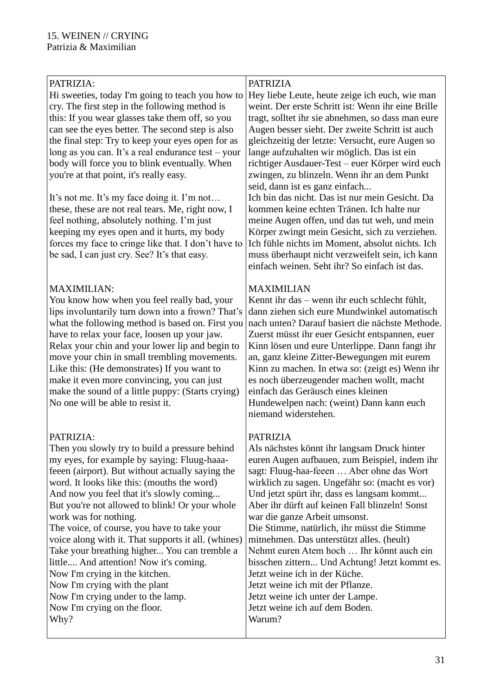| PATRIZIA:<br>Hi sweeties, today I'm going to teach you how to<br>cry. The first step in the following method is<br>this: If you wear glasses take them off, so you<br>can see the eyes better. The second step is also<br>the final step: Try to keep your eyes open for as<br>long as you can. It's a real endurance test – your<br>body will force you to blink eventually. When<br>you're at that point, it's really easy.<br>It's not me. It's my face doing it. I'm not<br>these, these are not real tears. Me, right now, I<br>feel nothing, absolutely nothing. I'm just<br>keeping my eyes open and it hurts, my body<br>forces my face to cringe like that. I don't have to<br>be sad, I can just cry. See? It's that easy. | <b>PATRIZIA</b><br>Hey liebe Leute, heute zeige ich euch, wie man<br>weint. Der erste Schritt ist: Wenn ihr eine Brille<br>tragt, solltet ihr sie abnehmen, so dass man eure<br>Augen besser sieht. Der zweite Schritt ist auch<br>gleichzeitig der letzte: Versucht, eure Augen so<br>lange aufzuhalten wir möglich. Das ist ein<br>richtiger Ausdauer-Test – euer Körper wird euch<br>zwingen, zu blinzeln. Wenn ihr an dem Punkt<br>seid, dann ist es ganz einfach<br>Ich bin das nicht. Das ist nur mein Gesicht. Da<br>kommen keine echten Tränen. Ich halte nur<br>meine Augen offen, und das tut weh, und mein<br>Körper zwingt mein Gesicht, sich zu verziehen.<br>Ich fühle nichts im Moment, absolut nichts. Ich<br>muss überhaupt nicht verzweifelt sein, ich kann<br>einfach weinen. Seht ihr? So einfach ist das. |
|--------------------------------------------------------------------------------------------------------------------------------------------------------------------------------------------------------------------------------------------------------------------------------------------------------------------------------------------------------------------------------------------------------------------------------------------------------------------------------------------------------------------------------------------------------------------------------------------------------------------------------------------------------------------------------------------------------------------------------------|--------------------------------------------------------------------------------------------------------------------------------------------------------------------------------------------------------------------------------------------------------------------------------------------------------------------------------------------------------------------------------------------------------------------------------------------------------------------------------------------------------------------------------------------------------------------------------------------------------------------------------------------------------------------------------------------------------------------------------------------------------------------------------------------------------------------------------|
| <b>MAXIMILIAN:</b><br>You know how when you feel really bad, your<br>lips involuntarily turn down into a frown? That's<br>what the following method is based on. First you<br>have to relax your face, loosen up your jaw.<br>Relax your chin and your lower lip and begin to<br>move your chin in small trembling movements.<br>Like this: (He demonstrates) If you want to<br>make it even more convincing, you can just<br>make the sound of a little puppy: (Starts crying)<br>No one will be able to resist it.                                                                                                                                                                                                                 | <b>MAXIMILIAN</b><br>Kennt ihr das – wenn ihr euch schlecht fühlt,<br>dann ziehen sich eure Mundwinkel automatisch<br>nach unten? Darauf basiert die nächste Methode.<br>Zuerst müsst ihr euer Gesicht entspannen, euer<br>Kinn lösen und eure Unterlippe. Dann fangt ihr<br>an, ganz kleine Zitter-Bewegungen mit eurem<br>Kinn zu machen. In etwa so: (zeigt es) Wenn ihr<br>es noch überzeugender machen wollt, macht<br>einfach das Geräusch eines kleinen<br>Hundewelpen nach: (weint) Dann kann euch<br>niemand widerstehen.                                                                                                                                                                                                                                                                                             |
| PATRIZIA:<br>Then you slowly try to build a pressure behind<br>my eyes, for example by saying: Fluug-haaa-<br>feeen (airport). But without actually saying the<br>word. It looks like this: (mouths the word)<br>And now you feel that it's slowly coming<br>But you're not allowed to blink! Or your whole<br>work was for nothing.<br>The voice, of course, you have to take your<br>voice along with it. That supports it all. (whines)<br>Take your breathing higher You can tremble a<br>little And attention! Now it's coming.<br>Now I'm crying in the kitchen.<br>Now I'm crying with the plant<br>Now I'm crying under to the lamp.<br>Now I'm crying on the floor.<br>Why?                                                 | <b>PATRIZIA</b><br>Als nächstes könnt ihr langsam Druck hinter<br>euren Augen aufbauen, zum Beispiel, indem ihr<br>sagt: Fluug-haa-feeen  Aber ohne das Wort<br>wirklich zu sagen. Ungefähr so: (macht es vor)<br>Und jetzt spürt ihr, dass es langsam kommt<br>Aber ihr dürft auf keinen Fall blinzeln! Sonst<br>war die ganze Arbeit umsonst.<br>Die Stimme, natürlich, ihr müsst die Stimme<br>mitnehmen. Das unterstützt alles. (heult)<br>Nehmt euren Atem hoch  Ihr könnt auch ein<br>bisschen zittern Und Achtung! Jetzt kommt es.<br>Jetzt weine ich in der Küche.<br>Jetzt weine ich mit der Pflanze.<br>Jetzt weine ich unter der Lampe.<br>Jetzt weine ich auf dem Boden.<br>Warum?                                                                                                                                 |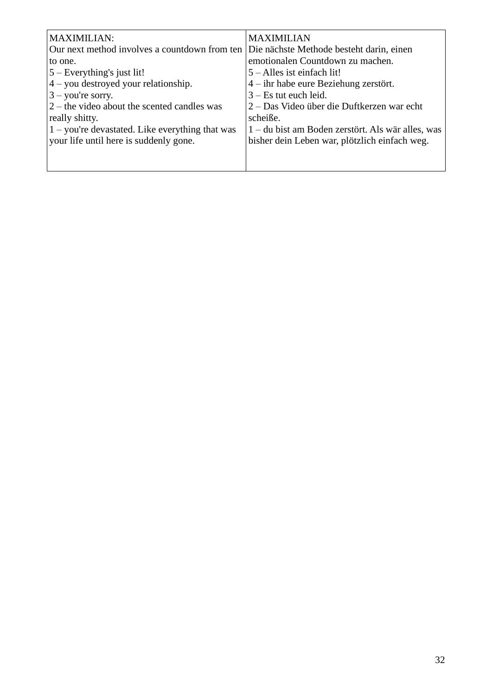| <b>MAXIMILIAN:</b>                                | <b>MAXIMILIAN</b>                                 |
|---------------------------------------------------|---------------------------------------------------|
| Our next method involves a count down from ten    | Die nächste Methode besteht darin, einen          |
| to one.                                           | emotionalen Countdown zu machen.                  |
| $5 -$ Everything's just lit!                      | $5 -$ Alles ist einfach lit!                      |
| $4$ – you destroyed your relationship.            | $4$ – ihr habe eure Beziehung zerstört.           |
| $3$ – you're sorry.                               | $3 - Es$ tut euch leid.                           |
| $2$ – the video about the scented candles was     | 2 – Das Video über die Duftkerzen war echt        |
| really shitty.                                    | scheiße.                                          |
| $1$ – you're devastated. Like everything that was | 1 – du bist am Boden zerstört. Als wär alles, was |
| your life until here is suddenly gone.            | bisher dein Leben war, plötzlich einfach weg.     |
|                                                   |                                                   |
|                                                   |                                                   |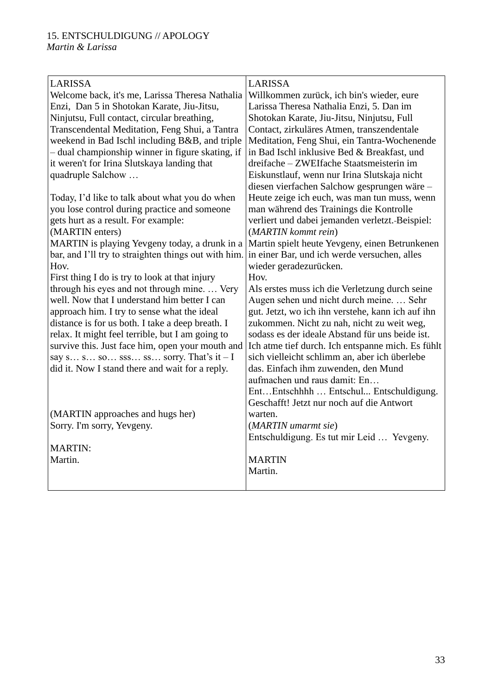| <b>LARISSA</b>                                       | <b>LARISSA</b>                                    |
|------------------------------------------------------|---------------------------------------------------|
| Welcome back, it's me, Larissa Theresa Nathalia      | Willkommen zurück, ich bin's wieder, eure         |
| Enzi, Dan 5 in Shotokan Karate, Jiu-Jitsu,           | Larissa Theresa Nathalia Enzi, 5. Dan im          |
| Ninjutsu, Full contact, circular breathing,          | Shotokan Karate, Jiu-Jitsu, Ninjutsu, Full        |
| Transcendental Meditation, Feng Shui, a Tantra       | Contact, zirkuläres Atmen, transzendentale        |
| weekend in Bad Ischl including B&B, and triple       | Meditation, Feng Shui, ein Tantra-Wochenende      |
| - dual championship winner in figure skating, if     | in Bad Ischl inklusive Bed & Breakfast, und       |
| it weren't for Irina Slutskaya landing that          | dreifache - ZWEIfache Staatsmeisterin im          |
| quadruple Salchow                                    | Eiskunstlauf, wenn nur Irina Slutskaja nicht      |
|                                                      | diesen vierfachen Salchow gesprungen wäre-        |
| Today, I'd like to talk about what you do when       | Heute zeige ich euch, was man tun muss, wenn      |
| you lose control during practice and someone         | man während des Trainings die Kontrolle           |
| gets hurt as a result. For example:                  | verliert und dabei jemanden verletzt. Beispiel:   |
| (MARTIN enters)                                      | (MARTIN kommt rein)                               |
| MARTIN is playing Yevgeny today, a drunk in a        | Martin spielt heute Yevgeny, einen Betrunkenen    |
| bar, and I'll try to straighten things out with him. | in einer Bar, und ich werde versuchen, alles      |
| Hov.                                                 | wieder geradezurücken.                            |
| First thing I do is try to look at that injury       | Hov.                                              |
| through his eyes and not through mine.  Very         | Als erstes muss ich die Verletzung durch seine    |
| well. Now that I understand him better I can         | Augen sehen und nicht durch meine.  Sehr          |
| approach him. I try to sense what the ideal          | gut. Jetzt, wo ich ihn verstehe, kann ich auf ihn |
| distance is for us both. I take a deep breath. I     | zukommen. Nicht zu nah, nicht zu weit weg,        |
| relax. It might feel terrible, but I am going to     | sodass es der ideale Abstand für uns beide ist.   |
| survive this. Just face him, open your mouth and     | Ich atme tief durch. Ich entspanne mich. Es fühlt |
| say s s so sss ss sorry. That's it - I               | sich vielleicht schlimm an, aber ich überlebe     |
| did it. Now I stand there and wait for a reply.      | das. Einfach ihm zuwenden, den Mund               |
|                                                      | aufmachen und raus damit: En                      |
|                                                      | EntEntschhhh  Entschul Entschuldigung.            |
|                                                      | Geschafft! Jetzt nur noch auf die Antwort         |
| (MARTIN approaches and hugs her)                     | warten.                                           |
| Sorry. I'm sorry, Yevgeny.                           | (MARTIN umarmt sie)                               |
|                                                      | Entschuldigung. Es tut mir Leid  Yevgeny.         |
| <b>MARTIN:</b>                                       |                                                   |
| Martin.                                              | <b>MARTIN</b>                                     |
|                                                      | Martin.                                           |
|                                                      |                                                   |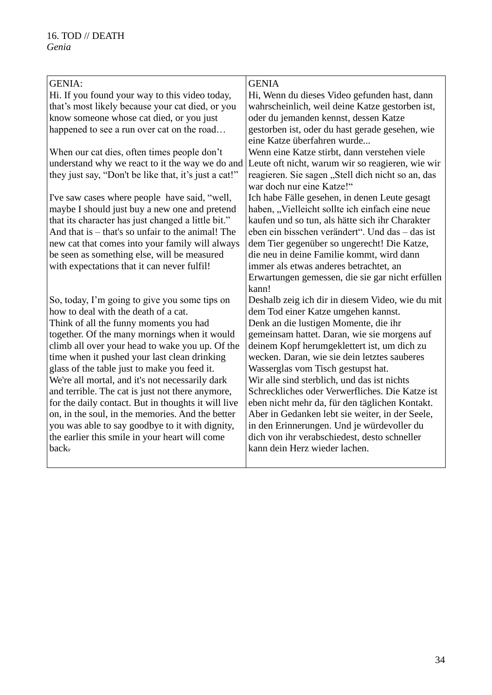| <b>GENIA:</b>                                         | <b>GENIA</b>                                      |
|-------------------------------------------------------|---------------------------------------------------|
| Hi. If you found your way to this video today,        | Hi, Wenn du dieses Video gefunden hast, dann      |
| that's most likely because your cat died, or you      | wahrscheinlich, weil deine Katze gestorben ist,   |
| know someone whose cat died, or you just              | oder du jemanden kennst, dessen Katze             |
| happened to see a run over cat on the road            | gestorben ist, oder du hast gerade gesehen, wie   |
|                                                       | eine Katze überfahren wurde                       |
| When our cat dies, often times people don't           | Wenn eine Katze stirbt, dann verstehen viele      |
| understand why we react to it the way we do and       | Leute oft nicht, warum wir so reagieren, wie wir  |
| they just say, "Don't be like that, it's just a cat!" | reagieren. Sie sagen "Stell dich nicht so an, das |
|                                                       | war doch nur eine Katze!"                         |
| I've saw cases where people have said, "well,         | Ich habe Fälle gesehen, in denen Leute gesagt     |
| maybe I should just buy a new one and pretend         | haben, "Vielleicht sollte ich einfach eine neue   |
| that its character has just changed a little bit."    | kaufen und so tun, als hätte sich ihr Charakter   |
| And that is – that's so unfair to the animal! The     | eben ein bisschen verändert". Und das - das ist   |
| new cat that comes into your family will always       | dem Tier gegenüber so ungerecht! Die Katze,       |
| be seen as something else, will be measured           | die neu in deine Familie kommt, wird dann         |
| with expectations that it can never fulfil!           | immer als etwas anderes betrachtet, an            |
|                                                       | Erwartungen gemessen, die sie gar nicht erfüllen  |
|                                                       | kann!                                             |
| So, today, I'm going to give you some tips on         | Deshalb zeig ich dir in diesem Video, wie du mit  |
| how to deal with the death of a cat.                  | dem Tod einer Katze umgehen kannst.               |
| Think of all the funny moments you had                | Denk an die lustigen Momente, die ihr             |
| together. Of the many mornings when it would          | gemeinsam hattet. Daran, wie sie morgens auf      |
| climb all over your head to wake you up. Of the       | deinem Kopf herumgeklettert ist, um dich zu       |
| time when it pushed your last clean drinking          | wecken. Daran, wie sie dein letztes sauberes      |
| glass of the table just to make you feed it.          | Wasserglas vom Tisch gestupst hat.                |
| We're all mortal, and it's not necessarily dark       | Wir alle sind sterblich, und das ist nichts       |
| and terrible. The cat is just not there anymore,      | Schreckliches oder Verwerfliches. Die Katze ist   |
| for the daily contact. But in thoughts it will live   | eben nicht mehr da, für den täglichen Kontakt.    |
| on, in the soul, in the memories. And the better      | Aber in Gedanken lebt sie weiter, in der Seele,   |
| you was able to say goodbye to it with dignity,       | in den Erinnerungen. Und je würdevoller du        |
| the earlier this smile in your heart will come        | dich von ihr verabschiedest, desto schneller      |
| back.                                                 | kann dein Herz wieder lachen.                     |
|                                                       |                                                   |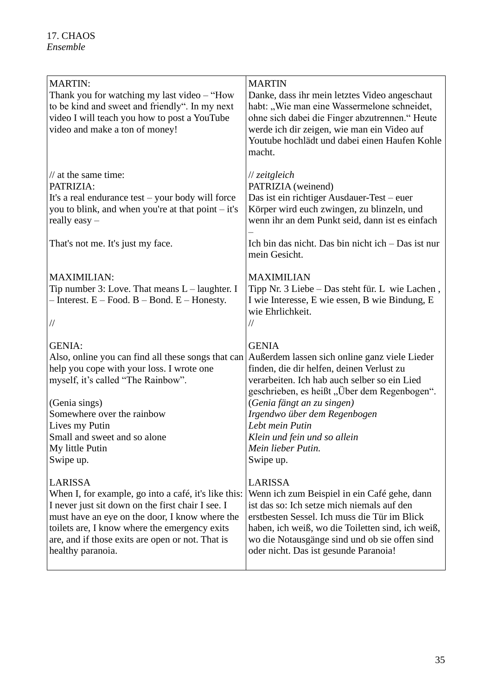| <b>MARTIN:</b><br>Thank you for watching my last video - "How<br>to be kind and sweet and friendly". In my next<br>video I will teach you how to post a YouTube<br>video and make a ton of money! | <b>MARTIN</b><br>Danke, dass ihr mein letztes Video angeschaut<br>habt: "Wie man eine Wassermelone schneidet,<br>ohne sich dabei die Finger abzutrennen." Heute<br>werde ich dir zeigen, wie man ein Video auf<br>Youtube hochlädt und dabei einen Haufen Kohle<br>macht. |
|---------------------------------------------------------------------------------------------------------------------------------------------------------------------------------------------------|---------------------------------------------------------------------------------------------------------------------------------------------------------------------------------------------------------------------------------------------------------------------------|
| $\frac{1}{2}$ at the same time:                                                                                                                                                                   | // zeitgleich                                                                                                                                                                                                                                                             |
| PATRIZIA:                                                                                                                                                                                         | PATRIZIA (weinend)                                                                                                                                                                                                                                                        |
| It's a real endurance test – your body will force                                                                                                                                                 | Das ist ein richtiger Ausdauer-Test - euer                                                                                                                                                                                                                                |
| you to blink, and when you're at that point – it's                                                                                                                                                | Körper wird euch zwingen, zu blinzeln, und                                                                                                                                                                                                                                |
| really easy $-$                                                                                                                                                                                   | wenn ihr an dem Punkt seid, dann ist es einfach                                                                                                                                                                                                                           |
| That's not me. It's just my face.                                                                                                                                                                 | Ich bin das nicht. Das bin nicht ich – Das ist nur<br>mein Gesicht.                                                                                                                                                                                                       |
| <b>MAXIMILIAN:</b><br>Tip number 3: Love. That means $L$ – laughter. I<br>$-$ Interest. $E$ – Food. $B$ – Bond. $E$ – Honesty.<br>$\frac{1}{2}$                                                   | <b>MAXIMILIAN</b><br>Tipp Nr. 3 Liebe - Das steht für. L wie Lachen,<br>I wie Interesse, E wie essen, B wie Bindung, E<br>wie Ehrlichkeit.<br>//                                                                                                                          |
| <b>GENIA:</b><br>Also, online you can find all these songs that can<br>help you cope with your loss. I wrote one<br>myself, it's called "The Rainbow".                                            | <b>GENIA</b><br>Außerdem lassen sich online ganz viele Lieder<br>finden, die dir helfen, deinen Verlust zu<br>verarbeiten. Ich hab auch selber so ein Lied<br>geschrieben, es heißt "Über dem Regenbogen".                                                                |
| (Genia sings)                                                                                                                                                                                     | (Genia fängt an zu singen)                                                                                                                                                                                                                                                |
| Somewhere over the rainbow                                                                                                                                                                        | Irgendwo über dem Regenbogen                                                                                                                                                                                                                                              |
| Lives my Putin                                                                                                                                                                                    | Leht mein Putin                                                                                                                                                                                                                                                           |
| Small and sweet and so alone                                                                                                                                                                      | Klein und fein und so allein                                                                                                                                                                                                                                              |
| My little Putin                                                                                                                                                                                   | Mein lieber Putin.                                                                                                                                                                                                                                                        |
| Swipe up.                                                                                                                                                                                         | Swipe up.                                                                                                                                                                                                                                                                 |
| <b>LARISSA</b>                                                                                                                                                                                    | LARISSA                                                                                                                                                                                                                                                                   |
| When I, for example, go into a café, it's like this:                                                                                                                                              | Wenn ich zum Beispiel in ein Café gehe, dann                                                                                                                                                                                                                              |
| I never just sit down on the first chair I see. I                                                                                                                                                 | ist das so: Ich setze mich niemals auf den                                                                                                                                                                                                                                |
| must have an eye on the door, I know where the                                                                                                                                                    | erstbesten Sessel. Ich muss die Tür im Blick                                                                                                                                                                                                                              |
| toilets are, I know where the emergency exits                                                                                                                                                     | haben, ich weiß, wo die Toiletten sind, ich weiß,                                                                                                                                                                                                                         |
| are, and if those exits are open or not. That is                                                                                                                                                  | wo die Notausgänge sind und ob sie offen sind                                                                                                                                                                                                                             |
| healthy paranoia.                                                                                                                                                                                 | oder nicht. Das ist gesunde Paranoia!                                                                                                                                                                                                                                     |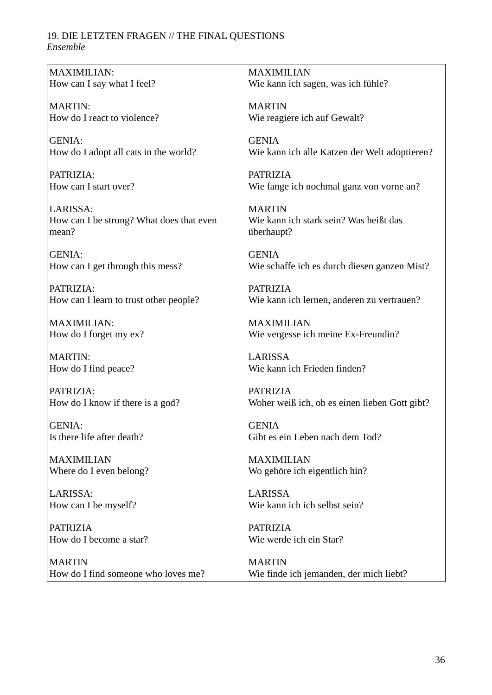#### 19. DIE LETZTEN FRAGEN // THE FINAL QUESTIONS *Ensemble*

| MAXIMILIAN:                              | <b>MAXIMILIAN</b>                             |
|------------------------------------------|-----------------------------------------------|
| How can I say what I feel?               | Wie kann ich sagen, was ich fühle?            |
|                                          |                                               |
| <b>MARTIN:</b>                           | <b>MARTIN</b>                                 |
| How do I react to violence?              | Wie reagiere ich auf Gewalt?                  |
| <b>GENIA:</b>                            | <b>GENIA</b>                                  |
| How do I adopt all cats in the world?    | Wie kann ich alle Katzen der Welt adoptieren? |
|                                          |                                               |
| PATRIZIA:                                | <b>PATRIZIA</b>                               |
| How can I start over?                    | Wie fange ich nochmal ganz von vorne an?      |
|                                          |                                               |
| LARISSA:                                 | <b>MARTIN</b>                                 |
| How can I be strong? What does that even | Wie kann ich stark sein? Was heißt das        |
| mean?                                    | überhaupt?                                    |
|                                          |                                               |
| <b>GENIA:</b>                            | <b>GENIA</b>                                  |
| How can I get through this mess?         | Wie schaffe ich es durch diesen ganzen Mist?  |
|                                          |                                               |
| PATRIZIA:                                | <b>PATRIZIA</b>                               |
| How can I learn to trust other people?   | Wie kann ich lernen, anderen zu vertrauen?    |
| <b>MAXIMILIAN:</b>                       | <b>MAXIMILIAN</b>                             |
| How do I forget my ex?                   | Wie vergesse ich meine Ex-Freundin?           |
|                                          |                                               |
| <b>MARTIN:</b>                           | <b>LARISSA</b>                                |
| How do I find peace?                     | Wie kann ich Frieden finden?                  |
|                                          |                                               |
| PATRIZIA:                                | <b>PATRIZIA</b>                               |
| How do I know if there is a god?         | Woher weiß ich, ob es einen lieben Gott gibt? |
|                                          |                                               |
| <b>GENIA:</b>                            | <b>GENIA</b>                                  |
| Is there life after death?               | Gibt es ein Leben nach dem Tod?               |
| <b>MAXIMILIAN</b>                        | <b>MAXIMILIAN</b>                             |
| Where do I even belong?                  | Wo gehöre ich eigentlich hin?                 |
|                                          |                                               |
| LARISSA:                                 | <b>LARISSA</b>                                |
| How can I be myself?                     | Wie kann ich ich selbst sein?                 |
|                                          |                                               |
| <b>PATRIZIA</b>                          | <b>PATRIZIA</b>                               |
| How do I become a star?                  | Wie werde ich ein Star?                       |
|                                          |                                               |
| <b>MARTIN</b>                            | <b>MARTIN</b>                                 |
| How do I find someone who loves me?      | Wie finde ich jemanden, der mich liebt?       |